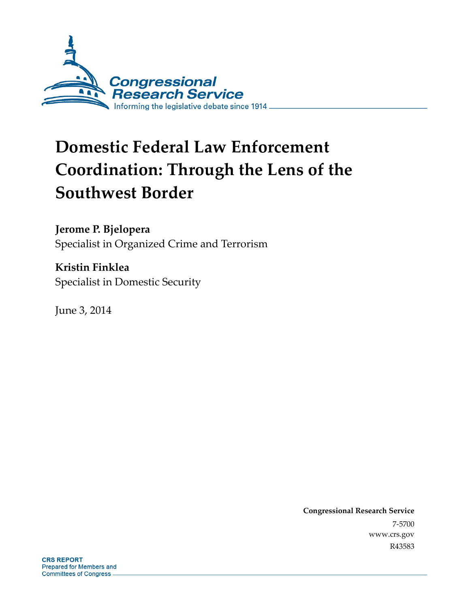

# **Domestic Federal Law Enforcement Coordination: Through the Lens of the Southwest Border**

**Jerome P. Bjelopera** 

Specialist in Organized Crime and Terrorism

**Kristin Finklea**  Specialist in Domestic Security

June 3, 2014

**Congressional Research Service**  7-5700 www.crs.gov R43583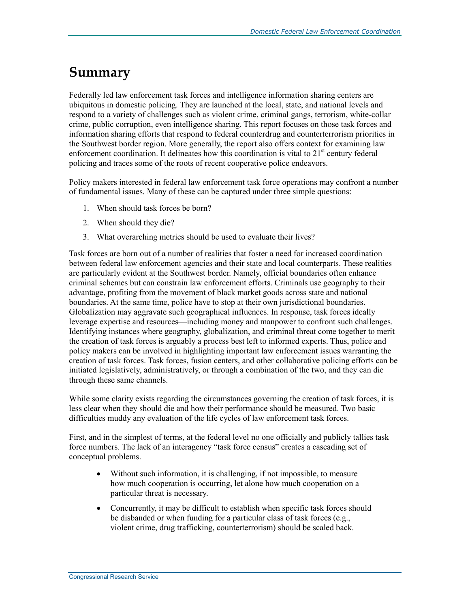## **Summary**

Federally led law enforcement task forces and intelligence information sharing centers are ubiquitous in domestic policing. They are launched at the local, state, and national levels and respond to a variety of challenges such as violent crime, criminal gangs, terrorism, white-collar crime, public corruption, even intelligence sharing. This report focuses on those task forces and information sharing efforts that respond to federal counterdrug and counterterrorism priorities in the Southwest border region. More generally, the report also offers context for examining law enforcement coordination. It delineates how this coordination is vital to  $21<sup>st</sup>$  century federal policing and traces some of the roots of recent cooperative police endeavors.

Policy makers interested in federal law enforcement task force operations may confront a number of fundamental issues. Many of these can be captured under three simple questions:

- 1. When should task forces be born?
- 2. When should they die?
- 3. What overarching metrics should be used to evaluate their lives?

Task forces are born out of a number of realities that foster a need for increased coordination between federal law enforcement agencies and their state and local counterparts. These realities are particularly evident at the Southwest border. Namely, official boundaries often enhance criminal schemes but can constrain law enforcement efforts. Criminals use geography to their advantage, profiting from the movement of black market goods across state and national boundaries. At the same time, police have to stop at their own jurisdictional boundaries. Globalization may aggravate such geographical influences. In response, task forces ideally leverage expertise and resources—including money and manpower to confront such challenges. Identifying instances where geography, globalization, and criminal threat come together to merit the creation of task forces is arguably a process best left to informed experts. Thus, police and policy makers can be involved in highlighting important law enforcement issues warranting the creation of task forces. Task forces, fusion centers, and other collaborative policing efforts can be initiated legislatively, administratively, or through a combination of the two, and they can die through these same channels.

While some clarity exists regarding the circumstances governing the creation of task forces, it is less clear when they should die and how their performance should be measured. Two basic difficulties muddy any evaluation of the life cycles of law enforcement task forces.

First, and in the simplest of terms, at the federal level no one officially and publicly tallies task force numbers. The lack of an interagency "task force census" creates a cascading set of conceptual problems.

- Without such information, it is challenging, if not impossible, to measure how much cooperation is occurring, let alone how much cooperation on a particular threat is necessary.
- Concurrently, it may be difficult to establish when specific task forces should be disbanded or when funding for a particular class of task forces (e.g., violent crime, drug trafficking, counterterrorism) should be scaled back.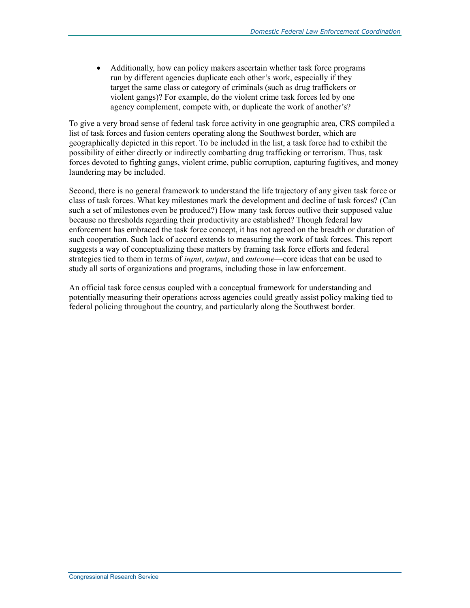• Additionally, how can policy makers ascertain whether task force programs run by different agencies duplicate each other's work, especially if they target the same class or category of criminals (such as drug traffickers or violent gangs)? For example, do the violent crime task forces led by one agency complement, compete with, or duplicate the work of another's?

To give a very broad sense of federal task force activity in one geographic area, CRS compiled a list of task forces and fusion centers operating along the Southwest border, which are geographically depicted in this report. To be included in the list, a task force had to exhibit the possibility of either directly or indirectly combatting drug trafficking or terrorism. Thus, task forces devoted to fighting gangs, violent crime, public corruption, capturing fugitives, and money laundering may be included.

Second, there is no general framework to understand the life trajectory of any given task force or class of task forces. What key milestones mark the development and decline of task forces? (Can such a set of milestones even be produced?) How many task forces outlive their supposed value because no thresholds regarding their productivity are established? Though federal law enforcement has embraced the task force concept, it has not agreed on the breadth or duration of such cooperation. Such lack of accord extends to measuring the work of task forces. This report suggests a way of conceptualizing these matters by framing task force efforts and federal strategies tied to them in terms of *input*, *output*, and *outcome*—core ideas that can be used to study all sorts of organizations and programs, including those in law enforcement.

An official task force census coupled with a conceptual framework for understanding and potentially measuring their operations across agencies could greatly assist policy making tied to federal policing throughout the country, and particularly along the Southwest border.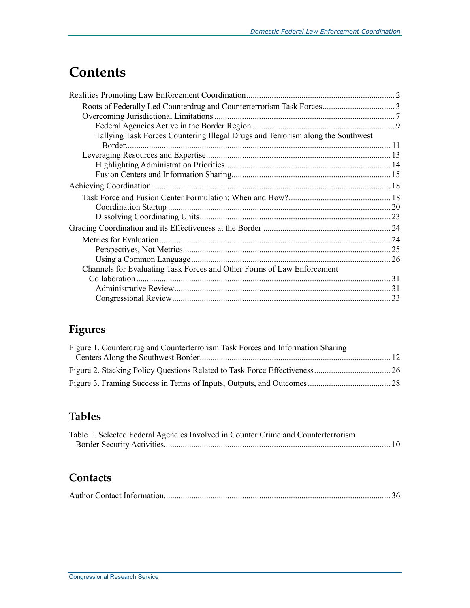## **Contents**

| Tallying Task Forces Countering Illegal Drugs and Terrorism along the Southwest |  |
|---------------------------------------------------------------------------------|--|
| Border                                                                          |  |
|                                                                                 |  |
|                                                                                 |  |
|                                                                                 |  |
|                                                                                 |  |
|                                                                                 |  |
|                                                                                 |  |
|                                                                                 |  |
|                                                                                 |  |
|                                                                                 |  |
|                                                                                 |  |
|                                                                                 |  |
| Channels for Evaluating Task Forces and Other Forms of Law Enforcement          |  |
|                                                                                 |  |
|                                                                                 |  |
|                                                                                 |  |

## **Figures**

| Figure 1. Counterdrug and Counterterrorism Task Forces and Information Sharing |  |
|--------------------------------------------------------------------------------|--|
|                                                                                |  |
|                                                                                |  |
|                                                                                |  |

## **Tables**

| Table 1. Selected Federal Agencies Involved in Counter Crime and Counterterrorism |  |
|-----------------------------------------------------------------------------------|--|
|                                                                                   |  |

### **Contacts**

|--|--|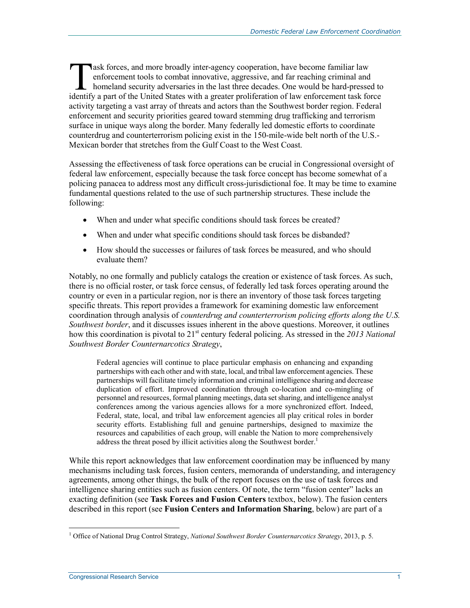Ask forces, and more broadly inter-agency cooperation, have become familiar law enforcement tools to combat innovative, aggressive, and far reaching criminal and homeland security adversaries in the last three decades. One would be hard-pressed to The ask forces, and more broadly inter-agency cooperation, have become familiar law enforcement tools to combat innovative, aggressive, and far reaching criminal and homeland security adversaries in the last three decades. activity targeting a vast array of threats and actors than the Southwest border region. Federal enforcement and security priorities geared toward stemming drug trafficking and terrorism surface in unique ways along the border. Many federally led domestic efforts to coordinate counterdrug and counterterrorism policing exist in the 150-mile-wide belt north of the U.S.- Mexican border that stretches from the Gulf Coast to the West Coast.

Assessing the effectiveness of task force operations can be crucial in Congressional oversight of federal law enforcement, especially because the task force concept has become somewhat of a policing panacea to address most any difficult cross-jurisdictional foe. It may be time to examine fundamental questions related to the use of such partnership structures. These include the following:

- When and under what specific conditions should task forces be created?
- When and under what specific conditions should task forces be disbanded?
- How should the successes or failures of task forces be measured, and who should evaluate them?

Notably, no one formally and publicly catalogs the creation or existence of task forces. As such, there is no official roster, or task force census, of federally led task forces operating around the country or even in a particular region, nor is there an inventory of those task forces targeting specific threats. This report provides a framework for examining domestic law enforcement coordination through analysis of *counterdrug and counterterrorism policing efforts along the U.S. Southwest border*, and it discusses issues inherent in the above questions. Moreover, it outlines how this coordination is pivotal to 21<sup>st</sup> century federal policing. As stressed in the 2013 National *Southwest Border Counternarcotics Strategy*,

Federal agencies will continue to place particular emphasis on enhancing and expanding partnerships with each other and with state, local, and tribal law enforcement agencies. These partnerships will facilitate timely information and criminal intelligence sharing and decrease duplication of effort. Improved coordination through co-location and co-mingling of personnel and resources, formal planning meetings, data set sharing, and intelligence analyst conferences among the various agencies allows for a more synchronized effort. Indeed, Federal, state, local, and tribal law enforcement agencies all play critical roles in border security efforts. Establishing full and genuine partnerships, designed to maximize the resources and capabilities of each group, will enable the Nation to more comprehensively address the threat posed by illicit activities along the Southwest border.<sup>1</sup>

While this report acknowledges that law enforcement coordination may be influenced by many mechanisms including task forces, fusion centers, memoranda of understanding, and interagency agreements, among other things, the bulk of the report focuses on the use of task forces and intelligence sharing entities such as fusion centers. Of note, the term "fusion center" lacks an exacting definition (see **Task Forces and Fusion Centers** textbox, below). The fusion centers described in this report (see **Fusion Centers and Information Sharing**, below) are part of a

<sup>&</sup>lt;u>.</u> <sup>1</sup> Office of National Drug Control Strategy, *National Southwest Border Counternarcotics Strategy*, 2013, p. 5.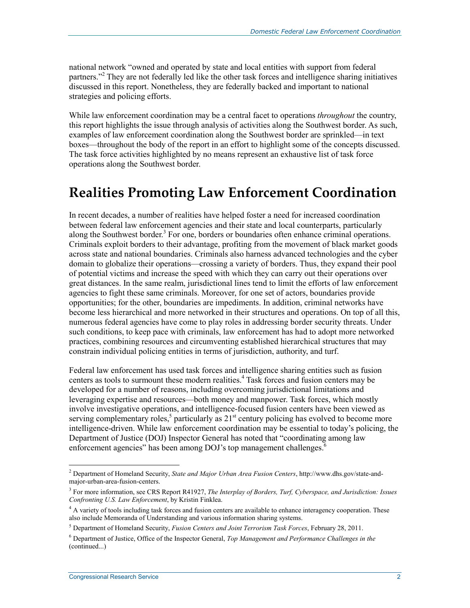national network "owned and operated by state and local entities with support from federal partners."<sup>2</sup> They are not federally led like the other task forces and intelligence sharing initiatives discussed in this report. Nonetheless, they are federally backed and important to national strategies and policing efforts.

While law enforcement coordination may be a central facet to operations *throughout* the country, this report highlights the issue through analysis of activities along the Southwest border. As such, examples of law enforcement coordination along the Southwest border are sprinkled—in text boxes—throughout the body of the report in an effort to highlight some of the concepts discussed. The task force activities highlighted by no means represent an exhaustive list of task force operations along the Southwest border.

## **Realities Promoting Law Enforcement Coordination**

In recent decades, a number of realities have helped foster a need for increased coordination between federal law enforcement agencies and their state and local counterparts, particularly along the Southwest border.<sup>3</sup> For one, borders or boundaries often enhance criminal operations. Criminals exploit borders to their advantage, profiting from the movement of black market goods across state and national boundaries. Criminals also harness advanced technologies and the cyber domain to globalize their operations—crossing a variety of borders. Thus, they expand their pool of potential victims and increase the speed with which they can carry out their operations over great distances. In the same realm, jurisdictional lines tend to limit the efforts of law enforcement agencies to fight these same criminals. Moreover, for one set of actors, boundaries provide opportunities; for the other, boundaries are impediments. In addition, criminal networks have become less hierarchical and more networked in their structures and operations. On top of all this, numerous federal agencies have come to play roles in addressing border security threats. Under such conditions, to keep pace with criminals, law enforcement has had to adopt more networked practices, combining resources and circumventing established hierarchical structures that may constrain individual policing entities in terms of jurisdiction, authority, and turf.

Federal law enforcement has used task forces and intelligence sharing entities such as fusion centers as tools to surmount these modern realities.<sup>4</sup> Task forces and fusion centers may be developed for a number of reasons, including overcoming jurisdictional limitations and leveraging expertise and resources—both money and manpower. Task forces, which mostly involve investigative operations, and intelligence-focused fusion centers have been viewed as serving complementary roles,<sup>5</sup> particularly as  $21<sup>st</sup>$  century policing has evolved to become more intelligence-driven. While law enforcement coordination may be essential to today's policing, the Department of Justice (DOJ) Inspector General has noted that "coordinating among law enforcement agencies" has been among DOJ's top management challenges.<sup>6</sup>

 2 Department of Homeland Security, *State and Major Urban Area Fusion Centers*, http://www.dhs.gov/state-andmajor-urban-area-fusion-centers.

<sup>3</sup> For more information, see CRS Report R41927, *The Interplay of Borders, Turf, Cyberspace, and Jurisdiction: Issues Confronting U.S. Law Enforcement*, by Kristin Finklea.

<sup>&</sup>lt;sup>4</sup> A variety of tools including task forces and fusion centers are available to enhance interagency cooperation. These also include Memoranda of Understanding and various information sharing systems.

<sup>5</sup> Department of Homeland Security, *Fusion Centers and Joint Terrorism Task Forces*, February 28, 2011.

<sup>6</sup> Department of Justice, Office of the Inspector General, *Top Management and Performance Challenges in the*  (continued...)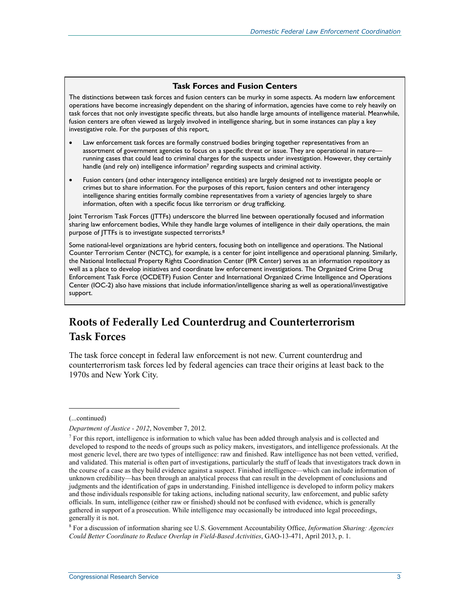#### **Task Forces and Fusion Centers**

The distinctions between task forces and fusion centers can be murky in some aspects. As modern law enforcement operations have become increasingly dependent on the sharing of information, agencies have come to rely heavily on task forces that not only investigate specific threats, but also handle large amounts of intelligence material. Meanwhile, fusion centers are often viewed as largely involved in intelligence sharing, but in some instances can play a key investigative role. For the purposes of this report,

- Law enforcement task forces are formally construed bodies bringing together representatives from an assortment of government agencies to focus on a specific threat or issue. They are operational in nature running cases that could lead to criminal charges for the suspects under investigation. However, they certainly handle (and rely on) intelligence information<sup>7</sup> regarding suspects and criminal activity.
- Fusion centers (and other interagency intelligence entities) are largely designed *not to* investigate people or crimes but to share information. For the purposes of this report, fusion centers and other interagency intelligence sharing entities formally combine representatives from a variety of agencies largely to share information, often with a specific focus like terrorism or drug trafficking.

Joint Terrorism Task Forces (JTTFs) underscore the blurred line between operationally focused and information sharing law enforcement bodies, While they handle large volumes of intelligence in their daily operations, the main purpose of JTTFs is to investigate suspected terrorists.8

Some national-level organizations are hybrid centers, focusing both on intelligence and operations. The National Counter Terrorism Center (NCTC), for example, is a center for joint intelligence and operational planning. Similarly, the National Intellectual Property Rights Coordination Center (IPR Center) serves as an information repository as well as a place to develop initiatives and coordinate law enforcement investigations. The Organized Crime Drug Enforcement Task Force (OCDETF) Fusion Center and International Organized Crime Intelligence and Operations Center (IOC-2) also have missions that include information/intelligence sharing as well as operational/investigative support.

### **Roots of Federally Led Counterdrug and Counterterrorism Task Forces**

The task force concept in federal law enforcement is not new. Current counterdrug and counterterrorism task forces led by federal agencies can trace their origins at least back to the 1970s and New York City.

(...continued)

*Department of Justice - 2012*, November 7, 2012.

 $<sup>7</sup>$  For this report, intelligence is information to which value has been added through analysis and is collected and</sup> developed to respond to the needs of groups such as policy makers, investigators, and intelligence professionals. At the most generic level, there are two types of intelligence: raw and finished. Raw intelligence has not been vetted, verified, and validated. This material is often part of investigations, particularly the stuff of leads that investigators track down in the course of a case as they build evidence against a suspect. Finished intelligence—which can include information of unknown credibility—has been through an analytical process that can result in the development of conclusions and judgments and the identification of gaps in understanding. Finished intelligence is developed to inform policy makers and those individuals responsible for taking actions, including national security, law enforcement, and public safety officials. In sum, intelligence (either raw or finished) should not be confused with evidence, which is generally gathered in support of a prosecution. While intelligence may occasionally be introduced into legal proceedings, generally it is not.

<sup>8</sup> For a discussion of information sharing see U.S. Government Accountability Office, *Information Sharing: Agencies Could Better Coordinate to Reduce Overlap in Field-Based Activities*, GAO-13-471, April 2013, p. 1.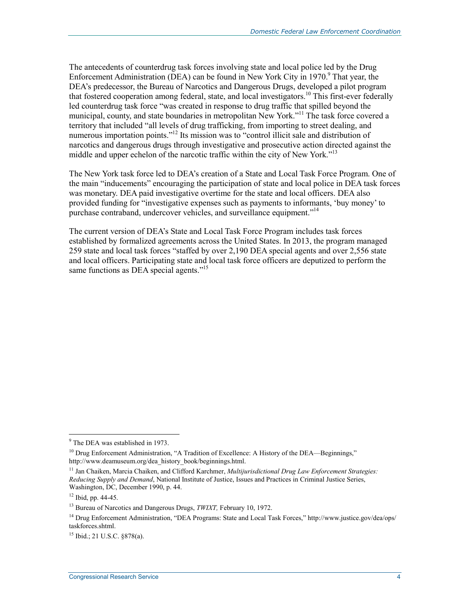The antecedents of counterdrug task forces involving state and local police led by the Drug Enforcement Administration (DEA) can be found in New York City in 1970.<sup>9</sup> That year, the DEA's predecessor, the Bureau of Narcotics and Dangerous Drugs, developed a pilot program that fostered cooperation among federal, state, and local investigators.<sup>10</sup> This first-ever federally led counterdrug task force "was created in response to drug traffic that spilled beyond the municipal, county, and state boundaries in metropolitan New York."<sup>11</sup> The task force covered a territory that included "all levels of drug trafficking, from importing to street dealing, and numerous importation points."<sup>12</sup> Its mission was to "control illicit sale and distribution of narcotics and dangerous drugs through investigative and prosecutive action directed against the middle and upper echelon of the narcotic traffic within the city of New York."<sup>13</sup>

The New York task force led to DEA's creation of a State and Local Task Force Program. One of the main "inducements" encouraging the participation of state and local police in DEA task forces was monetary. DEA paid investigative overtime for the state and local officers. DEA also provided funding for "investigative expenses such as payments to informants, 'buy money' to purchase contraband, undercover vehicles, and surveillance equipment."<sup>14</sup>

The current version of DEA's State and Local Task Force Program includes task forces established by formalized agreements across the United States. In 2013, the program managed 259 state and local task forces "staffed by over 2,190 DEA special agents and over 2,556 state and local officers. Participating state and local task force officers are deputized to perform the same functions as DEA special agents."<sup>15</sup>

<sup>&</sup>lt;u>.</u> <sup>9</sup> The DEA was established in 1973.

<sup>&</sup>lt;sup>10</sup> Drug Enforcement Administration, "A Tradition of Excellence: A History of the DEA—Beginnings," http://www.deamuseum.org/dea\_history\_book/beginnings.html.

<sup>11</sup> Jan Chaiken, Marcia Chaiken, and Clifford Karchmer, *Multijurisdictional Drug Law Enforcement Strategies: Reducing Supply and Demand*, National Institute of Justice, Issues and Practices in Criminal Justice Series, Washington, DC, December 1990, p. 44.

 $12$  Ibid, pp. 44-45.

<sup>13</sup> Bureau of Narcotics and Dangerous Drugs, *TWIXT,* February 10, 1972.

<sup>&</sup>lt;sup>14</sup> Drug Enforcement Administration, "DEA Programs: State and Local Task Forces," http://www.justice.gov/dea/ops/ taskforces.shtml.

<sup>15</sup> Ibid.; 21 U.S.C. §878(a).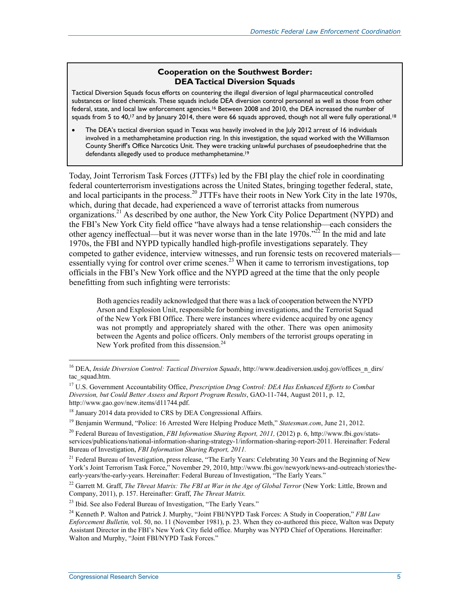### **Cooperation on the Southwest Border: DEA Tactical Diversion Squads**

Tactical Diversion Squads focus efforts on countering the illegal diversion of legal pharmaceutical controlled substances or listed chemicals. These squads include DEA diversion control personnel as well as those from other federal, state, and local law enforcement agencies.16 Between 2008 and 2010, the DEA increased the number of squads from 5 to 40,<sup>17</sup> and by January 2014, there were 66 squads approved, though not all were fully operational.<sup>18</sup>

• The DEA's tactical diversion squad in Texas was heavily involved in the July 2012 arrest of 16 individuals involved in a methamphetamine production ring. In this investigation, the squad worked with the Williamson County Sheriff's Office Narcotics Unit. They were tracking unlawful purchases of pseudoephedrine that the defendants allegedly used to produce methamphetamine.<sup>19</sup>

Today, Joint Terrorism Task Forces (JTTFs) led by the FBI play the chief role in coordinating federal counterterrorism investigations across the United States, bringing together federal, state, and local participants in the process.<sup>20</sup> JTTFs have their roots in New York City in the late 1970s, which, during that decade, had experienced a wave of terrorist attacks from numerous organizations.<sup>21</sup> As described by one author, the New York City Police Department (NYPD) and the FBI's New York City field office "have always had a tense relationship—each considers the other agency ineffectual—but it was never worse than in the late  $1970s$ .<sup> $22$ </sup> In the mid and late 1970s, the FBI and NYPD typically handled high-profile investigations separately. They competed to gather evidence, interview witnesses, and run forensic tests on recovered materials essentially vying for control over crime scenes.<sup>23</sup> When it came to terrorism investigations, top officials in the FBI's New York office and the NYPD agreed at the time that the only people benefitting from such infighting were terrorists:

Both agencies readily acknowledged that there was a lack of cooperation between the NYPD Arson and Explosion Unit, responsible for bombing investigations, and the Terrorist Squad of the New York FBI Office. There were instances where evidence acquired by one agency was not promptly and appropriately shared with the other. There was open animosity between the Agents and police officers. Only members of the terrorist groups operating in New York profited from this dissension.<sup>24</sup>

<sup>&</sup>lt;sup>16</sup> DEA, *Inside Diversion Control: Tactical Diversion Squads*, http://www.deadiversion.usdoj.gov/offices n\_dirs/ tac\_squad.htm.

<sup>17</sup> U.S. Government Accountability Office, *Prescription Drug Control: DEA Has Enhanced Efforts to Combat Diversion, but Could Better Assess and Report Program Results*, GAO-11-744, August 2011, p. 12, http://www.gao.gov/new.items/d11744.pdf.

<sup>&</sup>lt;sup>18</sup> January 2014 data provided to CRS by DEA Congressional Affairs.

<sup>19</sup> Benjamin Wermund, "Police: 16 Arrested Were Helping Produce Meth," *Statesman.com*, June 21, 2012.

<sup>20</sup> Federal Bureau of Investigation, *FBI Information Sharing Report, 2011,* (2012) p. 6, http://www.fbi.gov/statsservices/publications/national-information-sharing-strategy-1/information-sharing-report-2011*.* Hereinafter: Federal Bureau of Investigation, *FBI Information Sharing Report, 2011.*

 $21$  Federal Bureau of Investigation, press release, "The Early Years: Celebrating 30 Years and the Beginning of New York's Joint Terrorism Task Force," November 29, 2010, http://www.fbi.gov/newyork/news-and-outreach/stories/theearly-years/the-early-years. Hereinafter: Federal Bureau of Investigation, "The Early Years."

<sup>22</sup> Garrett M. Graff, *The Threat Matrix: The FBI at War in the Age of Global Terror* (New York: Little, Brown and Company, 2011), p. 157. Hereinafter: Graff, *The Threat Matrix.* 

<sup>&</sup>lt;sup>23</sup> Ibid. See also Federal Bureau of Investigation, "The Early Years."

<sup>24</sup> Kenneth P. Walton and Patrick J. Murphy, "Joint FBI/NYPD Task Forces: A Study in Cooperation," *FBI Law Enforcement Bulletin,* vol. 50, no. 11 (November 1981), p. 23. When they co-authored this piece, Walton was Deputy Assistant Director in the FBI's New York City field office. Murphy was NYPD Chief of Operations. Hereinafter: Walton and Murphy, "Joint FBI/NYPD Task Forces."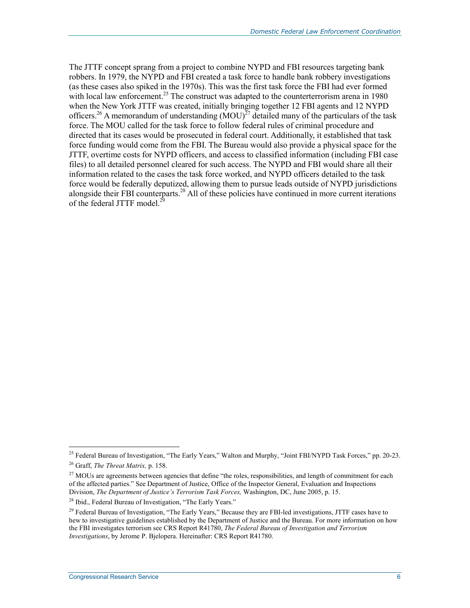The JTTF concept sprang from a project to combine NYPD and FBI resources targeting bank robbers. In 1979, the NYPD and FBI created a task force to handle bank robbery investigations (as these cases also spiked in the 1970s). This was the first task force the FBI had ever formed with local law enforcement.<sup>25</sup> The construct was adapted to the counterterrorism arena in 1980 when the New York JTTF was created, initially bringing together 12 FBI agents and 12 NYPD officers.<sup>26</sup> A memorandum of understanding  $(MOU)^{27}$  detailed many of the particulars of the task force. The MOU called for the task force to follow federal rules of criminal procedure and directed that its cases would be prosecuted in federal court. Additionally, it established that task force funding would come from the FBI. The Bureau would also provide a physical space for the JTTF, overtime costs for NYPD officers, and access to classified information (including FBI case files) to all detailed personnel cleared for such access. The NYPD and FBI would share all their information related to the cases the task force worked, and NYPD officers detailed to the task force would be federally deputized, allowing them to pursue leads outside of NYPD jurisdictions alongside their FBI counterparts.<sup>28</sup> All of these policies have continued in more current iterations of the federal JTTF model.<sup>2</sup>

<sup>&</sup>lt;sup>25</sup> Federal Bureau of Investigation, "The Early Years," Walton and Murphy, "Joint FBI/NYPD Task Forces," pp. 20-23. 26 Graff, *The Threat Matrix,* p. 158.

<sup>&</sup>lt;sup>27</sup> MOUs are agreements between agencies that define "the roles, responsibilities, and length of commitment for each of the affected parties." See Department of Justice, Office of the Inspector General, Evaluation and Inspections Division, *The Department of Justice's Terrorism Task Forces,* Washington, DC, June 2005, p. 15.

<sup>&</sup>lt;sup>28</sup> Ibid., Federal Bureau of Investigation, "The Early Years."

 $29$  Federal Bureau of Investigation, "The Early Years," Because they are FBI-led investigations, JTTF cases have to hew to investigative guidelines established by the Department of Justice and the Bureau. For more information on how the FBI investigates terrorism see CRS Report R41780, *The Federal Bureau of Investigation and Terrorism Investigations*, by Jerome P. Bjelopera. Hereinafter: CRS Report R41780.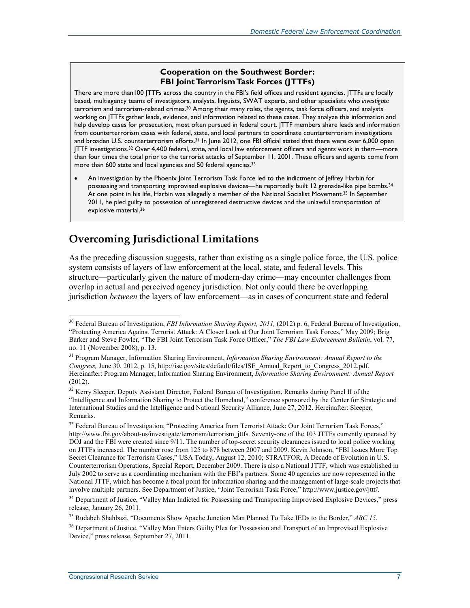#### **Cooperation on the Southwest Border: FBI Joint Terrorism Task Forces (JTTFs)**

There are more than100 JTTFs across the country in the FBI's field offices and resident agencies. JTTFs are locally based, multiagency teams of investigators, analysts, linguists, SWAT experts, and other specialists who *investigate* terrorism and terrorism-related crimes.30 Among their many roles, the agents, task force officers, and analysts working on JTTFs gather leads, evidence, and information related to these cases. They analyze this information and help develop cases for prosecution, most often pursued in federal court. JTTF members share leads and information from counterterrorism cases with federal, state, and local partners to coordinate counterterrorism investigations and broaden U.S. counterterrorism efforts.<sup>31</sup> In June 2012, one FBI official stated that there were over 6,000 open JTTF investigations.<sup>32</sup> Over 4,400 federal, state, and local law enforcement officers and agents work in them—more than four times the total prior to the terrorist attacks of September 11, 2001. These officers and agents come from more than 600 state and local agencies and 50 federal agencies.33

• An investigation by the Phoenix Joint Terrorism Task Force led to the indictment of Jeffrey Harbin for possessing and transporting improvised explosive devices—he reportedly built 12 grenade-like pipe bombs.<sup>34</sup> At one point in his life, Harbin was allegedly a member of the National Socialist Movement.35 In September 2011, he pled guilty to possession of unregistered destructive devices and the unlawful transportation of explosive material.<sup>36</sup>

### **Overcoming Jurisdictional Limitations**

As the preceding discussion suggests, rather than existing as a single police force, the U.S. police system consists of layers of law enforcement at the local, state, and federal levels. This structure—particularly given the nature of modern-day crime—may encounter challenges from overlap in actual and perceived agency jurisdiction. Not only could there be overlapping jurisdiction *between* the layers of law enforcement—as in cases of concurrent state and federal

<sup>30</sup> Federal Bureau of Investigation, *FBI Information Sharing Report, 2011,* (2012) p. 6, Federal Bureau of Investigation, "Protecting America Against Terrorist Attack: A Closer Look at Our Joint Terrorism Task Forces," May 2009; Brig Barker and Steve Fowler, "The FBI Joint Terrorism Task Force Officer," *The FBI Law Enforcement Bulletin*, vol. 77, no. 11 (November 2008), p. 13.

<sup>31</sup> Program Manager, Information Sharing Environment, *Information Sharing Environment: Annual Report to the Congress,* June 30, 2012, p. 15, http://ise.gov/sites/default/files/ISE\_Annual\_Report\_to\_Congress\_2012.pdf. Hereinafter: Program Manager, Information Sharing Environment, *Information Sharing Environment: Annual Report*  (2012).

<sup>&</sup>lt;sup>32</sup> Kerry Sleeper, Deputy Assistant Director, Federal Bureau of Investigation, Remarks during Panel II of the "Intelligence and Information Sharing to Protect the Homeland," conference sponsored by the Center for Strategic and International Studies and the Intelligence and National Security Alliance, June 27, 2012. Hereinafter: Sleeper, Remarks.

<sup>&</sup>lt;sup>33</sup> Federal Bureau of Investigation, "Protecting America from Terrorist Attack: Our Joint Terrorism Task Forces," http://www.fbi.gov/about-us/investigate/terrorism/terrorism\_jttfs. Seventy-one of the 103 JTTFs currently operated by DOJ and the FBI were created since 9/11. The number of top-secret security clearances issued to local police working on JTTFs increased. The number rose from 125 to 878 between 2007 and 2009. Kevin Johnson, "FBI Issues More Top Secret Clearance for Terrorism Cases," USA Today, August 12, 2010; STRATFOR, A Decade of Evolution in U.S. Counterterrorism Operations, Special Report, December 2009. There is also a National JTTF, which was established in July 2002 to serve as a coordinating mechanism with the FBI's partners. Some 40 agencies are now represented in the National JTTF, which has become a focal point for information sharing and the management of large-scale projects that involve multiple partners. See Department of Justice, "Joint Terrorism Task Force," http://www.justice.gov/jttf/.

<sup>&</sup>lt;sup>34</sup> Department of Justice, "Valley Man Indicted for Possessing and Transporting Improvised Explosive Devices," press release, January 26, 2011.

<sup>35</sup> Rudabeh Shahbazi, "Documents Show Apache Junction Man Planned To Take IEDs to the Border," *ABC 15*.

<sup>&</sup>lt;sup>36</sup> Department of Justice, "Valley Man Enters Guilty Plea for Possession and Transport of an Improvised Explosive Device," press release, September 27, 2011.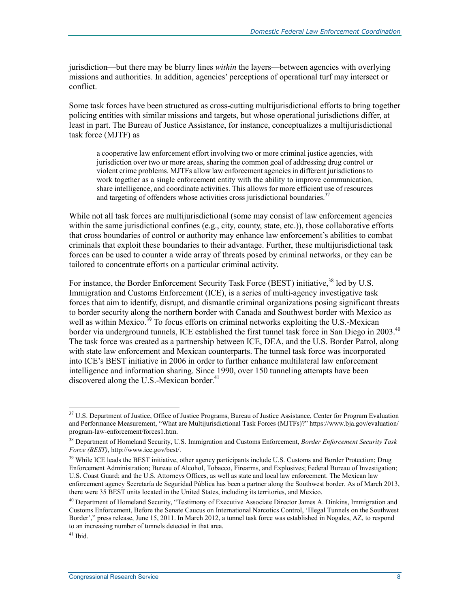jurisdiction—but there may be blurry lines *within* the layers—between agencies with overlying missions and authorities. In addition, agencies' perceptions of operational turf may intersect or conflict.

Some task forces have been structured as cross-cutting multijurisdictional efforts to bring together policing entities with similar missions and targets, but whose operational jurisdictions differ, at least in part. The Bureau of Justice Assistance, for instance, conceptualizes a multijurisdictional task force (MJTF) as

a cooperative law enforcement effort involving two or more criminal justice agencies, with jurisdiction over two or more areas, sharing the common goal of addressing drug control or violent crime problems. MJTFs allow law enforcement agencies in different jurisdictions to work together as a single enforcement entity with the ability to improve communication, share intelligence, and coordinate activities. This allows for more efficient use of resources and targeting of offenders whose activities cross jurisdictional boundaries.<sup>37</sup>

While not all task forces are multijurisdictional (some may consist of law enforcement agencies within the same jurisdictional confines (e.g., city, county, state, etc.)), those collaborative efforts that cross boundaries of control or authority may enhance law enforcement's abilities to combat criminals that exploit these boundaries to their advantage. Further, these multijurisdictional task forces can be used to counter a wide array of threats posed by criminal networks, or they can be tailored to concentrate efforts on a particular criminal activity.

For instance, the Border Enforcement Security Task Force (BEST) initiative,<sup>38</sup> led by U.S. Immigration and Customs Enforcement (ICE), is a series of multi-agency investigative task forces that aim to identify, disrupt, and dismantle criminal organizations posing significant threats to border security along the northern border with Canada and Southwest border with Mexico as well as within Mexico.<sup>39</sup> To focus efforts on criminal networks exploiting the U.S.-Mexican border via underground tunnels, ICE established the first tunnel task force in San Diego in 2003.<sup>40</sup> The task force was created as a partnership between ICE, DEA, and the U.S. Border Patrol, along with state law enforcement and Mexican counterparts. The tunnel task force was incorporated into ICE's BEST initiative in 2006 in order to further enhance multilateral law enforcement intelligence and information sharing. Since 1990, over 150 tunneling attempts have been discovered along the U.S.-Mexican border.<sup>41</sup>

<sup>&</sup>lt;sup>37</sup> U.S. Department of Justice, Office of Justice Programs, Bureau of Justice Assistance, Center for Program Evaluation and Performance Measurement, "What are Multijurisdictional Task Forces (MJTFs)?" https://www.bja.gov/evaluation/ program-law-enforcement/forces1.htm.

<sup>38</sup> Department of Homeland Security, U.S. Immigration and Customs Enforcement, *Border Enforcement Security Task Force (BEST)*, http://www.ice.gov/best/.

<sup>&</sup>lt;sup>39</sup> While ICE leads the BEST initiative, other agency participants include U.S. Customs and Border Protection; Drug Enforcement Administration; Bureau of Alcohol, Tobacco, Firearms, and Explosives; Federal Bureau of Investigation; U.S. Coast Guard; and the U.S. Attorneys Offices, as well as state and local law enforcement. The Mexican law enforcement agency Secretaría de Seguridad Pública has been a partner along the Southwest border. As of March 2013, there were 35 BEST units located in the United States, including its territories, and Mexico.

<sup>&</sup>lt;sup>40</sup> Department of Homeland Security, "Testimony of Executive Associate Director James A. Dinkins, Immigration and Customs Enforcement, Before the Senate Caucus on International Narcotics Control, 'Illegal Tunnels on the Southwest Border'," press release, June 15, 2011. In March 2012, a tunnel task force was established in Nogales, AZ, to respond to an increasing number of tunnels detected in that area.

 $41$  Ibid.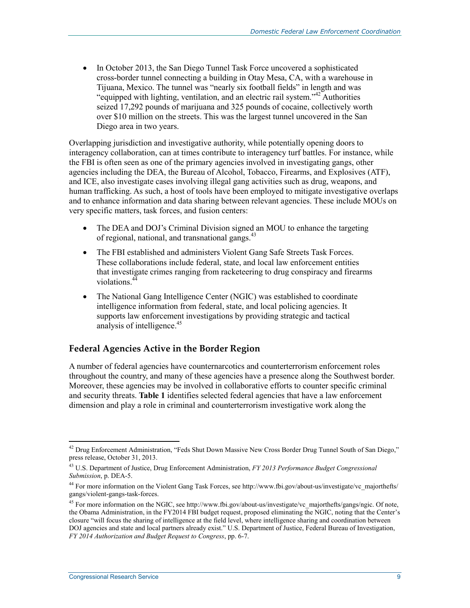• In October 2013, the San Diego Tunnel Task Force uncovered a sophisticated cross-border tunnel connecting a building in Otay Mesa, CA, with a warehouse in Tijuana, Mexico. The tunnel was "nearly six football fields" in length and was "equipped with lighting, ventilation, and an electric rail system."42 Authorities seized 17,292 pounds of marijuana and 325 pounds of cocaine, collectively worth over \$10 million on the streets. This was the largest tunnel uncovered in the San Diego area in two years.

Overlapping jurisdiction and investigative authority, while potentially opening doors to interagency collaboration, can at times contribute to interagency turf battles. For instance, while the FBI is often seen as one of the primary agencies involved in investigating gangs, other agencies including the DEA, the Bureau of Alcohol, Tobacco, Firearms, and Explosives (ATF), and ICE, also investigate cases involving illegal gang activities such as drug, weapons, and human trafficking. As such, a host of tools have been employed to mitigate investigative overlaps and to enhance information and data sharing between relevant agencies. These include MOUs on very specific matters, task forces, and fusion centers:

- The DEA and DOJ's Criminal Division signed an MOU to enhance the targeting of regional, national, and transnational gangs.<sup>43</sup>
- The FBI established and administers Violent Gang Safe Streets Task Forces. These collaborations include federal, state, and local law enforcement entities that investigate crimes ranging from racketeering to drug conspiracy and firearms violations.<sup>44</sup>
- The National Gang Intelligence Center (NGIC) was established to coordinate intelligence information from federal, state, and local policing agencies. It supports law enforcement investigations by providing strategic and tactical analysis of intelligence.<sup>45</sup>

### **Federal Agencies Active in the Border Region**

A number of federal agencies have counternarcotics and counterterrorism enforcement roles throughout the country, and many of these agencies have a presence along the Southwest border. Moreover, these agencies may be involved in collaborative efforts to counter specific criminal and security threats. **Table 1** identifies selected federal agencies that have a law enforcement dimension and play a role in criminal and counterterrorism investigative work along the

<sup>&</sup>lt;u>.</u>  $42$  Drug Enforcement Administration, "Feds Shut Down Massive New Cross Border Drug Tunnel South of San Diego," press release, October 31, 2013.

<sup>43</sup> U.S. Department of Justice, Drug Enforcement Administration, *FY 2013 Performance Budget Congressional Submission*, p. DEA-5.

<sup>44</sup> For more information on the Violent Gang Task Forces, see http://www.fbi.gov/about-us/investigate/vc\_majorthefts/ gangs/violent-gangs-task-forces.

<sup>&</sup>lt;sup>45</sup> For more information on the NGIC, see http://www.fbi.gov/about-us/investigate/vc\_majorthefts/gangs/ngic. Of note, the Obama Administration, in the FY2014 FBI budget request, proposed eliminating the NGIC, noting that the Center's closure "will focus the sharing of intelligence at the field level, where intelligence sharing and coordination between DOJ agencies and state and local partners already exist." U.S. Department of Justice, Federal Bureau of Investigation, *FY 2014 Authorization and Budget Request to Congress*, pp. 6-7.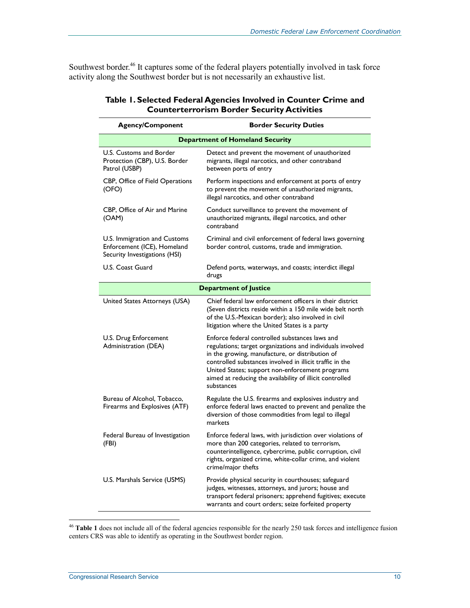Southwest border.<sup>46</sup> It captures some of the federal players potentially involved in task force activity along the Southwest border but is not necessarily an exhaustive list.

| <b>Agency/Component</b>                                                                      | <b>Border Security Duties</b>                                                                                                                                                                                                                                                                                                                            |
|----------------------------------------------------------------------------------------------|----------------------------------------------------------------------------------------------------------------------------------------------------------------------------------------------------------------------------------------------------------------------------------------------------------------------------------------------------------|
|                                                                                              | <b>Department of Homeland Security</b>                                                                                                                                                                                                                                                                                                                   |
| U.S. Customs and Border<br>Protection (CBP), U.S. Border<br>Patrol (USBP)                    | Detect and prevent the movement of unauthorized<br>migrants, illegal narcotics, and other contraband<br>between ports of entry                                                                                                                                                                                                                           |
| CBP, Office of Field Operations<br>(OFO)                                                     | Perform inspections and enforcement at ports of entry<br>to prevent the movement of unauthorized migrants,<br>illegal narcotics, and other contraband                                                                                                                                                                                                    |
| CBP, Office of Air and Marine<br>(OAM)                                                       | Conduct surveillance to prevent the movement of<br>unauthorized migrants, illegal narcotics, and other<br>contraband                                                                                                                                                                                                                                     |
| U.S. Immigration and Customs<br>Enforcement (ICE), Homeland<br>Security Investigations (HSI) | Criminal and civil enforcement of federal laws governing<br>border control, customs, trade and immigration.                                                                                                                                                                                                                                              |
| U.S. Coast Guard                                                                             | Defend ports, waterways, and coasts; interdict illegal<br>drugs                                                                                                                                                                                                                                                                                          |
|                                                                                              | <b>Department of Justice</b>                                                                                                                                                                                                                                                                                                                             |
| United States Attorneys (USA)                                                                | Chief federal law enforcement officers in their district<br>(Seven districts reside within a 150 mile wide belt north<br>of the U.S.-Mexican border); also involved in civil<br>litigation where the United States is a party                                                                                                                            |
| U.S. Drug Enforcement<br>Administration (DEA)                                                | Enforce federal controlled substances laws and<br>regulations; target organizations and individuals involved<br>in the growing, manufacture, or distribution of<br>controlled substances involved in illicit traffic in the<br>United States; support non-enforcement programs<br>aimed at reducing the availability of illicit controlled<br>substances |
| Bureau of Alcohol, Tobacco,<br>Firearms and Explosives (ATF)                                 | Regulate the U.S. firearms and explosives industry and<br>enforce federal laws enacted to prevent and penalize the<br>diversion of those commodities from legal to illegal<br>markets                                                                                                                                                                    |
| Federal Bureau of Investigation<br>(FBI)                                                     | Enforce federal laws, with jurisdiction over violations of<br>more than 200 categories, related to terrorism,<br>counterintelligence, cybercrime, public corruption, civil<br>rights, organized crime, white-collar crime, and violent<br>crime/major thefts                                                                                             |
| U.S. Marshals Service (USMS)                                                                 | Provide physical security in courthouses; safeguard<br>judges, witnesses, attorneys, and jurors; house and<br>transport federal prisoners; apprehend fugitives; execute<br>warrants and court orders; seize forfeited property                                                                                                                           |

### **Table 1. Selected Federal Agencies Involved in Counter Crime and Counterterrorism Border Security Activities**

<sup>46</sup> **Table 1** does not include all of the federal agencies responsible for the nearly 250 task forces and intelligence fusion centers CRS was able to identify as operating in the Southwest border region.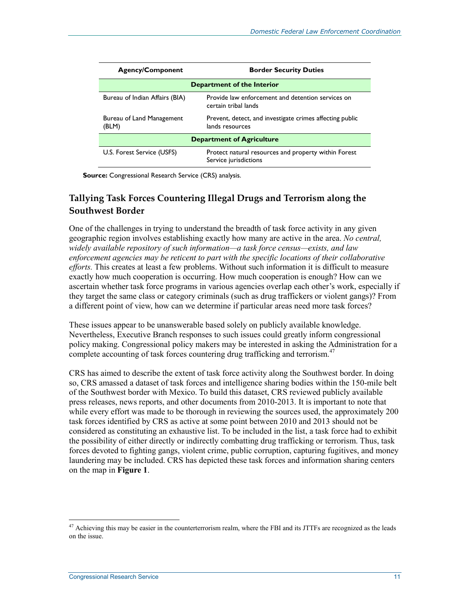| <b>Agency/Component</b>            | <b>Border Security Duties</b>                                                 |  |
|------------------------------------|-------------------------------------------------------------------------------|--|
| Department of the Interior         |                                                                               |  |
| Bureau of Indian Affairs (BIA)     | Provide law enforcement and detention services on<br>certain tribal lands     |  |
| Bureau of Land Management<br>(BLM) | Prevent, detect, and investigate crimes affecting public<br>lands resources   |  |
| <b>Department of Agriculture</b>   |                                                                               |  |
| U.S. Forest Service (USFS)         | Protect natural resources and property within Forest<br>Service jurisdictions |  |

**Source:** Congressional Research Service (CRS) analysis.

### **Tallying Task Forces Countering Illegal Drugs and Terrorism along the Southwest Border**

One of the challenges in trying to understand the breadth of task force activity in any given geographic region involves establishing exactly how many are active in the area. *No central, widely available repository of such information—a task force census—exists, and law enforcement agencies may be reticent to part with the specific locations of their collaborative efforts.* This creates at least a few problems. Without such information it is difficult to measure exactly how much cooperation is occurring. How much cooperation is enough? How can we ascertain whether task force programs in various agencies overlap each other's work, especially if they target the same class or category criminals (such as drug traffickers or violent gangs)? From a different point of view, how can we determine if particular areas need more task forces?

These issues appear to be unanswerable based solely on publicly available knowledge. Nevertheless, Executive Branch responses to such issues could greatly inform congressional policy making. Congressional policy makers may be interested in asking the Administration for a complete accounting of task forces countering drug trafficking and terrorism.<sup>47</sup>

CRS has aimed to describe the extent of task force activity along the Southwest border. In doing so, CRS amassed a dataset of task forces and intelligence sharing bodies within the 150-mile belt of the Southwest border with Mexico. To build this dataset, CRS reviewed publicly available press releases, news reports, and other documents from 2010-2013. It is important to note that while every effort was made to be thorough in reviewing the sources used, the approximately 200 task forces identified by CRS as active at some point between 2010 and 2013 should not be considered as constituting an exhaustive list. To be included in the list, a task force had to exhibit the possibility of either directly or indirectly combatting drug trafficking or terrorism. Thus, task forces devoted to fighting gangs, violent crime, public corruption, capturing fugitives, and money laundering may be included. CRS has depicted these task forces and information sharing centers on the map in **Figure 1**.

 $47$  Achieving this may be easier in the counterterrorism realm, where the FBI and its JTTFs are recognized as the leads on the issue.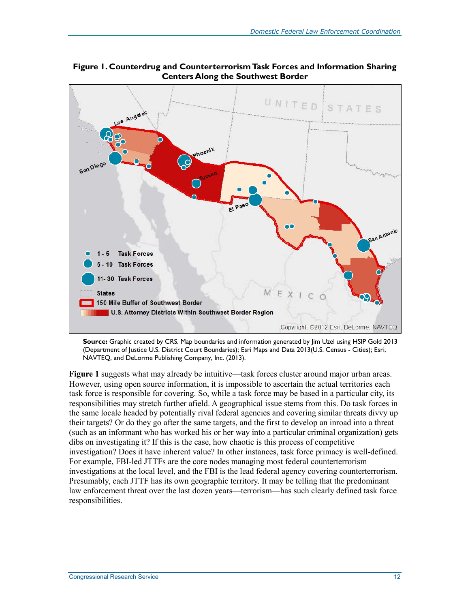

**Figure 1. Counterdrug and Counterterrorism Task Forces and Information Sharing Centers Along the Southwest Border** 

**Source:** Graphic created by CRS. Map boundaries and information generated by Jim Uzel using HSIP Gold 2013 (Department of Justice U.S. District Court Boundaries); Esri Maps and Data 2013(U.S. Census - Cities); Esri, NAVTEQ, and DeLorme Publishing Company, Inc. (2013).

**Figure 1** suggests what may already be intuitive—task forces cluster around major urban areas. However, using open source information, it is impossible to ascertain the actual territories each task force is responsible for covering. So, while a task force may be based in a particular city, its responsibilities may stretch further afield. A geographical issue stems from this. Do task forces in the same locale headed by potentially rival federal agencies and covering similar threats divvy up their targets? Or do they go after the same targets, and the first to develop an inroad into a threat (such as an informant who has worked his or her way into a particular criminal organization) gets dibs on investigating it? If this is the case, how chaotic is this process of competitive investigation? Does it have inherent value? In other instances, task force primacy is well-defined. For example, FBI-led JTTFs are the core nodes managing most federal counterterrorism investigations at the local level, and the FBI is the lead federal agency covering counterterrorism. Presumably, each JTTF has its own geographic territory. It may be telling that the predominant law enforcement threat over the last dozen years—terrorism—has such clearly defined task force responsibilities.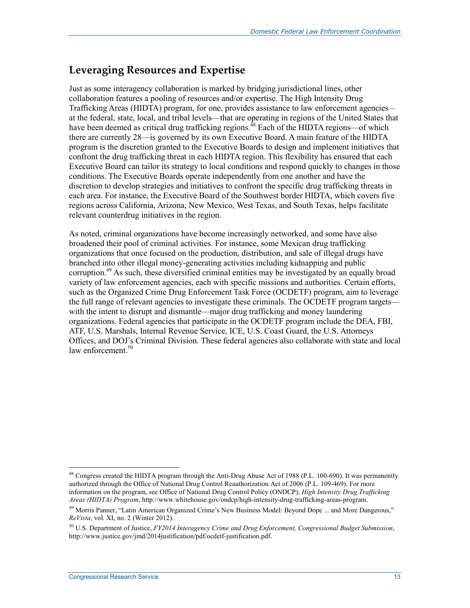### **Leveraging Resources and Expertise**

Just as some interagency collaboration is marked by bridging jurisdictional lines, other collaboration features a pooling of resources and/or expertise. The High Intensity Drug Trafficking Areas (HIDTA) program, for one, provides assistance to law enforcement agencies – at the federal, state, local, and tribal levels—that are operating in regions of the United States that have been deemed as critical drug trafficking regions.<sup>48</sup> Each of the HIDTA regions—of which there are currently 28—is governed by its own Executive Board. A main feature of the HIDTA program is the discretion granted to the Executive Boards to design and implement initiatives that confront the drug trafficking threat in each HIDTA region. This flexibility has ensured that each Executive Board can tailor its strategy to local conditions and respond quickly to changes in those conditions. The Executive Boards operate independently from one another and have the discretion to develop strategies and initiatives to confront the specific drug trafficking threats in each area. For instance, the Executive Board of the Southwest border HIDTA, which covers five regions across California, Arizona, New Mexico, West Texas, and South Texas, helps facilitate relevant counterdrug initiatives in the region.

As noted, criminal organizations have become increasingly networked, and some have also broadened their pool of criminal activities. For instance, some Mexican drug trafficking organizations that once focused on the production, distribution, and sale of illegal drugs have branched into other illegal money-generating activities including kidnapping and public corruption.<sup>49</sup> As such, these diversified criminal entities may be investigated by an equally broad variety of law enforcement agencies, each with specific missions and authorities. Certain efforts, such as the Organized Crime Drug Enforcement Task Force (OCDETF) program, aim to leverage the full range of relevant agencies to investigate these criminals. The OCDETF program targets with the intent to disrupt and dismantle—major drug trafficking and money laundering organizations. Federal agencies that participate in the OCDETF program include the DEA, FBI, ATF, U.S. Marshals, Internal Revenue Service, ICE, U.S. Coast Guard, the U.S. Attorneys Offices, and DOJ's Criminal Division. These federal agencies also collaborate with state and local law enforcement.<sup>50</sup>

<sup>&</sup>lt;sup>48</sup> Congress created the HIDTA program through the Anti-Drug Abuse Act of 1988 (P.L. 100-690). It was permanently authorized through the Office of National Drug Control Reauthorization Act of 2006 (P.L. 109-469). For more information on the program, see Office of National Drug Control Policy (ONDCP), *High Intensity Drug Trafficking Areas (HIDTA) Program*, http://www.whitehouse.gov/ondcp/high-intensity-drug-trafficking-areas-program.

<sup>&</sup>lt;sup>49</sup> Morris Panner, "Latin American Organized Crime's New Business Model: Beyond Dope ... and More Dangerous," *ReVista*, vol. XI, no. 2 (Winter 2012).

<sup>50</sup> U.S. Department of Justice, *FY2014 Interagency Crime and Drug Enforcement, Congressional Budget Submission*, http://www.justice.gov/jmd/2014justification/pdf/ocdetf-justification.pdf.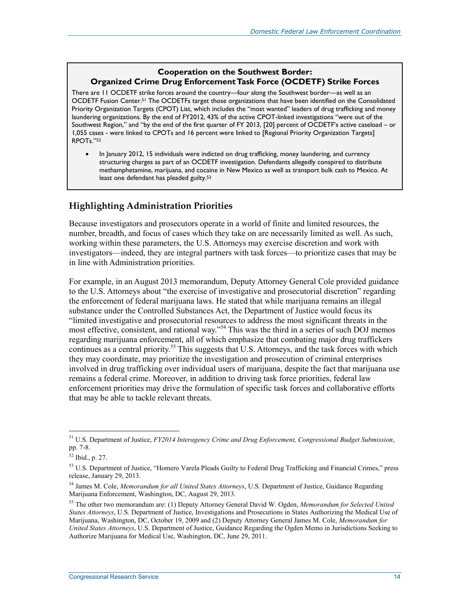### **Cooperation on the Southwest Border: Organized Crime Drug Enforcement Task Force (OCDETF) Strike Forces**

There are 11 OCDETF strike forces around the country—four along the Southwest border—as well as an OCDETF Fusion Center.51 The OCDETFs target those organizations that have been identified on the Consolidated Priority Organization Targets (CPOT) List, which includes the "most wanted" leaders of drug trafficking and money laundering organizations. By the end of FY2012, 43% of the active CPOT-linked investigations "were out of the Southwest Region," and "by the end of the first quarter of FY 2013, [20] percent of OCDETF's active caseload – or 1,055 cases - were linked to CPOTs and 16 percent were linked to [Regional Priority Organization Targets] RPOTs."52

• In January 2012, 15 individuals were indicted on drug trafficking, money laundering, and currency structuring charges as part of an OCDETF investigation. Defendants allegedly conspired to distribute methamphetamine, marijuana, and cocaine in New Mexico as well as transport bulk cash to Mexico. At least one defendant has pleaded guilty.<sup>53</sup>

### **Highlighting Administration Priorities**

Because investigators and prosecutors operate in a world of finite and limited resources, the number, breadth, and focus of cases which they take on are necessarily limited as well. As such, working within these parameters, the U.S. Attorneys may exercise discretion and work with investigators—indeed, they are integral partners with task forces—to prioritize cases that may be in line with Administration priorities.

For example, in an August 2013 memorandum, Deputy Attorney General Cole provided guidance to the U.S. Attorneys about "the exercise of investigative and prosecutorial discretion" regarding the enforcement of federal marijuana laws. He stated that while marijuana remains an illegal substance under the Controlled Substances Act, the Department of Justice would focus its "limited investigative and prosecutorial resources to address the most significant threats in the most effective, consistent, and rational way."<sup>54</sup> This was the third in a series of such DOJ memos regarding marijuana enforcement, all of which emphasize that combating major drug traffickers continues as a central priority.<sup>55</sup> This suggests that U.S. Attorneys, and the task forces with which they may coordinate, may prioritize the investigation and prosecution of criminal enterprises involved in drug trafficking over individual users of marijuana, despite the fact that marijuana use remains a federal crime. Moreover, in addition to driving task force priorities, federal law enforcement priorities may drive the formulation of specific task forces and collaborative efforts that may be able to tackle relevant threats.

<sup>51</sup> U.S. Department of Justice, *FY2014 Interagency Crime and Drug Enforcement, Congressional Budget Submission*, pp. 7-8.

<sup>52</sup> Ibid., p. 27.

<sup>&</sup>lt;sup>53</sup> U.S. Department of Justice, "Homero Varela Pleads Guilty to Federal Drug Trafficking and Financial Crimes," press release, January 29, 2013.

<sup>54</sup> James M. Cole, *Memorandum for all United States Attorneys*, U.S. Department of Justice, Guidance Regarding Marijuana Enforcement, Washington, DC, August 29, 2013.

<sup>55</sup> The other two memorandum are: (1) Deputy Attorney General David W. Ogden, *Memorandum for Selected United States Attorneys*, U.S. Department of Justice, Investigations and Prosecutions in States Authorizing the Medical Use of Marijuana, Washington, DC, October 19, 2009 and (2) Deputy Attorney General James M. Cole, *Memorandum for United States Attorneys*, U.S. Department of Justice, Guidance Regarding the Ogden Memo in Jurisdictions Seeking to Authorize Marijuana for Medical Use, Washington, DC, June 29, 2011.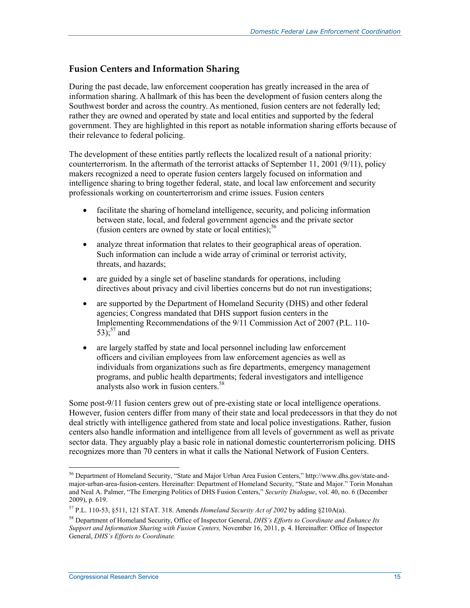### **Fusion Centers and Information Sharing**

During the past decade, law enforcement cooperation has greatly increased in the area of information sharing. A hallmark of this has been the development of fusion centers along the Southwest border and across the country. As mentioned, fusion centers are not federally led; rather they are owned and operated by state and local entities and supported by the federal government. They are highlighted in this report as notable information sharing efforts because of their relevance to federal policing.

The development of these entities partly reflects the localized result of a national priority: counterterrorism. In the aftermath of the terrorist attacks of September 11, 2001 (9/11), policy makers recognized a need to operate fusion centers largely focused on information and intelligence sharing to bring together federal, state, and local law enforcement and security professionals working on counterterrorism and crime issues. Fusion centers

- facilitate the sharing of homeland intelligence, security, and policing information between state, local, and federal government agencies and the private sector (fusion centers are owned by state or local entities); $56$
- analyze threat information that relates to their geographical areas of operation. Such information can include a wide array of criminal or terrorist activity, threats, and hazards;
- are guided by a single set of baseline standards for operations, including directives about privacy and civil liberties concerns but do not run investigations;
- are supported by the Department of Homeland Security (DHS) and other federal agencies; Congress mandated that DHS support fusion centers in the Implementing Recommendations of the 9/11 Commission Act of 2007 (P.L. 110- 53);<sup>57</sup> and
- are largely staffed by state and local personnel including law enforcement officers and civilian employees from law enforcement agencies as well as individuals from organizations such as fire departments, emergency management programs, and public health departments; federal investigators and intelligence analysts also work in fusion centers.58

Some post-9/11 fusion centers grew out of pre-existing state or local intelligence operations. However, fusion centers differ from many of their state and local predecessors in that they do not deal strictly with intelligence gathered from state and local police investigations. Rather, fusion centers also handle information and intelligence from all levels of government as well as private sector data. They arguably play a basic role in national domestic counterterrorism policing. DHS recognizes more than 70 centers in what it calls the National Network of Fusion Centers.

<sup>56</sup> Department of Homeland Security, "State and Major Urban Area Fusion Centers," http://www.dhs.gov/state-andmajor-urban-area-fusion-centers. Hereinafter: Department of Homeland Security, "State and Major." Torin Monahan and Neal A. Palmer, "The Emerging Politics of DHS Fusion Centers," *Security Dialogue*, vol. 40, no. 6 (December 2009), p. 619.

<sup>57</sup> P.L. 110-53, §511, 121 STAT. 318. Amends *Homeland Security Act of 2002* by adding §210A(a).

<sup>58</sup> Department of Homeland Security, Office of Inspector General, *DHS's Efforts to Coordinate and Enhance Its Support and Information Sharing with Fusion Centers,* November 16, 2011, p. 4. Hereinafter: Office of Inspector General, *DHS's Efforts to Coordinate.*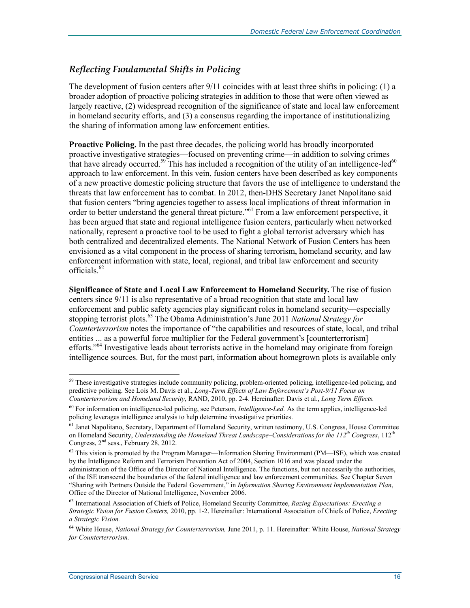### *Reflecting Fundamental Shifts in Policing*

The development of fusion centers after 9/11 coincides with at least three shifts in policing: (1) a broader adoption of proactive policing strategies in addition to those that were often viewed as largely reactive, (2) widespread recognition of the significance of state and local law enforcement in homeland security efforts, and (3) a consensus regarding the importance of institutionalizing the sharing of information among law enforcement entities.

**Proactive Policing.** In the past three decades, the policing world has broadly incorporated proactive investigative strategies—focused on preventing crime—in addition to solving crimes that have already occurred.<sup>59</sup> This has included a recognition of the utility of an intelligence-led<sup>60</sup> approach to law enforcement. In this vein, fusion centers have been described as key components of a new proactive domestic policing structure that favors the use of intelligence to understand the threats that law enforcement has to combat. In 2012, then-DHS Secretary Janet Napolitano said that fusion centers "bring agencies together to assess local implications of threat information in order to better understand the general threat picture."61 From a law enforcement perspective, it has been argued that state and regional intelligence fusion centers, particularly when networked nationally, represent a proactive tool to be used to fight a global terrorist adversary which has both centralized and decentralized elements. The National Network of Fusion Centers has been envisioned as a vital component in the process of sharing terrorism, homeland security, and law enforcement information with state, local, regional, and tribal law enforcement and security officials.<sup>62</sup>

**Significance of State and Local Law Enforcement to Homeland Security.** The rise of fusion centers since 9/11 is also representative of a broad recognition that state and local law enforcement and public safety agencies play significant roles in homeland security—especially stopping terrorist plots.63 The Obama Administration's June 2011 *National Strategy for Counterterrorism* notes the importance of "the capabilities and resources of state, local, and tribal entities ... as a powerful force multiplier for the Federal government's [counterterrorism] efforts."<sup>64</sup> Investigative leads about terrorists active in the homeland may originate from foreign intelligence sources. But, for the most part, information about homegrown plots is available only

<sup>&</sup>lt;sup>59</sup> These investigative strategies include community policing, problem-oriented policing, intelligence-led policing, and predictive policing. See Lois M. Davis et al., *Long-Term Effects of Law Enforcement's Post-9/11 Focus on Counterterrorism and Homeland Security*, RAND, 2010, pp. 2-4. Hereinafter: Davis et al., *Long Term Effects.* 

<sup>60</sup> For information on intelligence-led policing, see Peterson, *Intelligence-Led.* As the term applies, intelligence-led policing leverages intelligence analysis to help determine investigative priorities.

<sup>&</sup>lt;sup>61</sup> Janet Napolitano, Secretary, Department of Homeland Security, written testimony, U.S. Congress, House Committee on Homeland Security, *Understanding the Homeland Threat Landscape–Considerations for the 112<sup>th</sup> Congress*, 112<sup>th</sup> Congress, 2<sup>nd</sup> sess., February 28, 2012.

<sup>62</sup> This vision is promoted by the Program Manager—Information Sharing Environment (PM—ISE), which was created by the Intelligence Reform and Terrorism Prevention Act of 2004, Section 1016 and was placed under the administration of the Office of the Director of National Intelligence. The functions, but not necessarily the authorities, of the ISE transcend the boundaries of the federal intelligence and law enforcement communities. See Chapter Seven "Sharing with Partners Outside the Federal Government," in *Information Sharing Environment Implementation Plan*, Office of the Director of National Intelligence, November 2006.

<sup>63</sup> International Association of Chiefs of Police, Homeland Security Committee, *Razing Expectations: Erecting a Strategic Vision for Fusion Centers,* 2010, pp. 1-2. Hereinafter: International Association of Chiefs of Police, *Erecting a Strategic Vision.* 

<sup>64</sup> White House, *National Strategy for Counterterrorism,* June 2011, p. 11. Hereinafter: White House, *National Strategy for Counterterrorism.*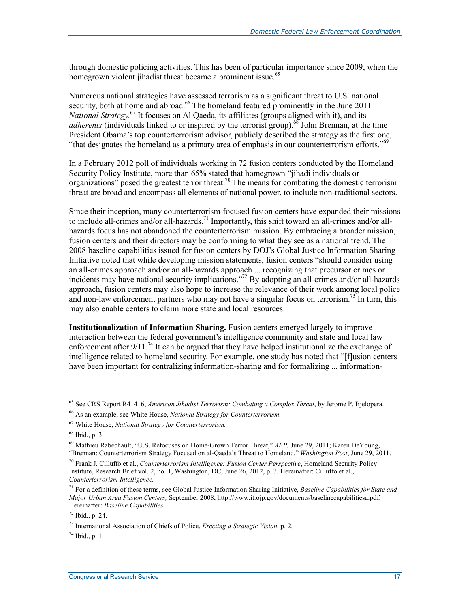through domestic policing activities. This has been of particular importance since 2009, when the homegrown violent jihadist threat became a prominent issue.<sup>65</sup>

Numerous national strategies have assessed terrorism as a significant threat to U.S. national security, both at home and abroad.<sup>66</sup> The homeland featured prominently in the June 2011 *National Strategy*.<sup>67</sup> It focuses on Al Qaeda, its affiliates (groups aligned with it), and its *adherents* (individuals linked to or inspired by the terrorist group).<sup>68</sup> John Brennan, at the time President Obama's top counterterrorism advisor, publicly described the strategy as the first one, "that designates the homeland as a primary area of emphasis in our counterterrorism efforts." $69$ 

In a February 2012 poll of individuals working in 72 fusion centers conducted by the Homeland Security Policy Institute, more than 65% stated that homegrown "jihadi individuals or organizations" posed the greatest terror threat.<sup>70</sup> The means for combating the domestic terrorism threat are broad and encompass all elements of national power, to include non-traditional sectors.

Since their inception, many counterterrorism-focused fusion centers have expanded their missions to include all-crimes and/or all-hazards.<sup>71</sup> Importantly, this shift toward an all-crimes and/or allhazards focus has not abandoned the counterterrorism mission. By embracing a broader mission, fusion centers and their directors may be conforming to what they see as a national trend. The 2008 baseline capabilities issued for fusion centers by DOJ's Global Justice Information Sharing Initiative noted that while developing mission statements, fusion centers "should consider using an all-crimes approach and/or an all-hazards approach ... recognizing that precursor crimes or incidents may have national security implications."<sup>72</sup> By adopting an all-crimes and/or all-hazards approach, fusion centers may also hope to increase the relevance of their work among local police and non-law enforcement partners who may not have a singular focus on terrorism.<sup>73</sup> In turn, this may also enable centers to claim more state and local resources.

**Institutionalization of Information Sharing.** Fusion centers emerged largely to improve interaction between the federal government's intelligence community and state and local law enforcement after  $9/11$ .<sup>74</sup> It can be argued that they have helped institutionalize the exchange of intelligence related to homeland security. For example, one study has noted that "[flusion centers] have been important for centralizing information-sharing and for formalizing ... information-

<sup>65</sup> See CRS Report R41416, *American Jihadist Terrorism: Combating a Complex Threat*, by Jerome P. Bjelopera.

<sup>66</sup> As an example, see White House, *National Strategy for Counterterrorism.*

<sup>67</sup> White House, *National Strategy for Counterterrorism.*

<sup>68</sup> Ibid., p. 3.

<sup>69</sup> Mathieu Rabechault, "U.S. Refocuses on Home-Grown Terror Threat," *AFP,* June 29, 2011; Karen DeYoung, "Brennan: Counterterrorism Strategy Focused on al-Qaeda's Threat to Homeland," *Washington Post*, June 29, 2011.

<sup>70</sup> Frank J. Cilluffo et al., *Counterterrorism Intelligence: Fusion Center Perspective*, Homeland Security Policy Institute, Research Brief vol. 2, no. 1, Washington, DC, June 26, 2012, p. 3. Hereinafter: Cilluffo et al., *Counterterrorism Intelligence.* 

<sup>71</sup> For a definition of these terms, see Global Justice Information Sharing Initiative, *Baseline Capabilities for State and Major Urban Area Fusion Centers,* September 2008, http://www.it.ojp.gov/documents/baselinecapabilitiesa.pdf. Hereinafter: *Baseline Capabilities.*

<sup>72</sup> Ibid., p. 24.

<sup>73</sup> International Association of Chiefs of Police, *Erecting a Strategic Vision,* p. 2.

 $^{74}$  Ibid., p. 1.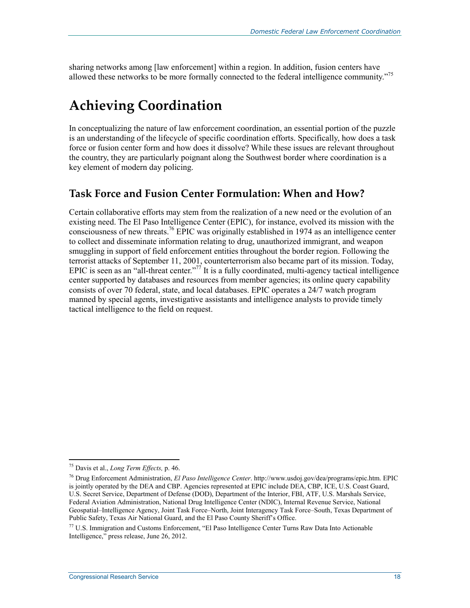sharing networks among [law enforcement] within a region. In addition, fusion centers have allowed these networks to be more formally connected to the federal intelligence community."<sup>75</sup>

## **Achieving Coordination**

In conceptualizing the nature of law enforcement coordination, an essential portion of the puzzle is an understanding of the lifecycle of specific coordination efforts. Specifically, how does a task force or fusion center form and how does it dissolve? While these issues are relevant throughout the country, they are particularly poignant along the Southwest border where coordination is a key element of modern day policing.

### **Task Force and Fusion Center Formulation: When and How?**

Certain collaborative efforts may stem from the realization of a new need or the evolution of an existing need. The El Paso Intelligence Center (EPIC), for instance, evolved its mission with the consciousness of new threats.76 EPIC was originally established in 1974 as an intelligence center to collect and disseminate information relating to drug, unauthorized immigrant, and weapon smuggling in support of field enforcement entities throughout the border region. Following the terrorist attacks of September 11, 2001, counterterrorism also became part of its mission. Today, EPIC is seen as an "all-threat center."77 It is a fully coordinated, multi-agency tactical intelligence center supported by databases and resources from member agencies; its online query capability consists of over 70 federal, state, and local databases. EPIC operates a 24/7 watch program manned by special agents, investigative assistants and intelligence analysts to provide timely tactical intelligence to the field on request.

<sup>75</sup> Davis et al., *Long Term Effects,* p. 46.

<sup>76</sup> Drug Enforcement Administration, *El Paso Intelligence Center*. http://www.usdoj.gov/dea/programs/epic.htm. EPIC is jointly operated by the DEA and CBP. Agencies represented at EPIC include DEA, CBP, ICE, U.S. Coast Guard, U.S. Secret Service, Department of Defense (DOD), Department of the Interior, FBI, ATF, U.S. Marshals Service, Federal Aviation Administration, National Drug Intelligence Center (NDIC), Internal Revenue Service, National Geospatial–Intelligence Agency, Joint Task Force–North, Joint Interagency Task Force–South, Texas Department of Public Safety, Texas Air National Guard, and the El Paso County Sheriff's Office.

 $77$  U.S. Immigration and Customs Enforcement, "El Paso Intelligence Center Turns Raw Data Into Actionable Intelligence," press release, June 26, 2012.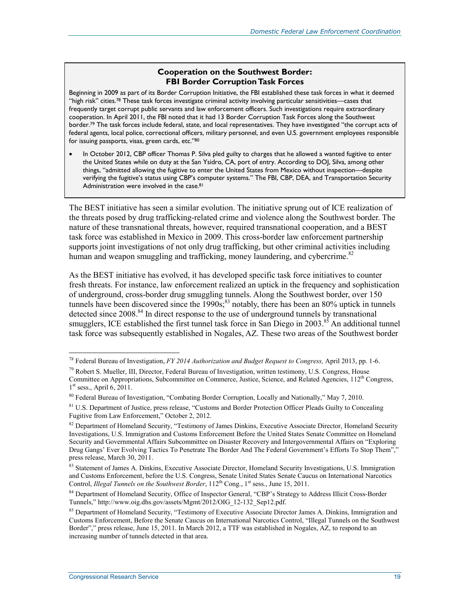#### **Cooperation on the Southwest Border: FBI Border Corruption Task Forces**

Beginning in 2009 as part of its Border Corruption Initiative, the FBI established these task forces in what it deemed "high risk" cities.78 These task forces investigate criminal activity involving particular sensitivities—cases that frequently target corrupt public servants and law enforcement officers. Such investigations require extraordinary cooperation. In April 2011, the FBI noted that it had 13 Border Corruption Task Forces along the Southwest border.79 The task forces include federal, state, and local representatives. They have investigated "the corrupt acts of federal agents, local police, correctional officers, military personnel, and even U.S. government employees responsible for issuing passports, visas, green cards, etc."80

• In October 2012, CBP officer Thomas P. Silva pled guilty to charges that he allowed a wanted fugitive to enter the United States while on duty at the San Ysidro, CA, port of entry. According to DOJ, Silva, among other things, "admitted allowing the fugitive to enter the United States from Mexico without inspection—despite verifying the fugitive's status using CBP's computer systems." The FBI, CBP, DEA, and Transportation Security Administration were involved in the case.<sup>81</sup>

The BEST initiative has seen a similar evolution. The initiative sprung out of ICE realization of the threats posed by drug trafficking-related crime and violence along the Southwest border. The nature of these transnational threats, however, required transnational cooperation, and a BEST task force was established in Mexico in 2009. This cross-border law enforcement partnership supports joint investigations of not only drug trafficking, but other criminal activities including human and weapon smuggling and trafficking, money laundering, and cybercrime.<sup>82</sup>

As the BEST initiative has evolved, it has developed specific task force initiatives to counter fresh threats. For instance, law enforcement realized an uptick in the frequency and sophistication of underground, cross-border drug smuggling tunnels. Along the Southwest border, over 150 tunnels have been discovered since the  $1990s$ ;<sup>83</sup> notably, there has been an 80% uptick in tunnels detected since 2008.<sup>84</sup> In direct response to the use of underground tunnels by transnational smugglers, ICE established the first tunnel task force in San Diego in  $2003$ .<sup>85</sup> An additional tunnel task force was subsequently established in Nogales, AZ. These two areas of the Southwest border

<sup>78</sup> Federal Bureau of Investigation, *FY 2014 Authorization and Budget Request to Congress,* April 2013, pp. 1-6.

 $^{79}$  Robert S. Mueller, III, Director, Federal Bureau of Investigation, written testimony, U.S. Congress, House Committee on Appropriations, Subcommittee on Commerce, Justice, Science, and Related Agencies, 112<sup>th</sup> Congress,  $1<sup>st</sup>$  sess., April 6, 2011.

<sup>80</sup> Federal Bureau of Investigation, "Combating Border Corruption, Locally and Nationally," May 7, 2010.

<sup>&</sup>lt;sup>81</sup> U.S. Department of Justice, press release, "Customs and Border Protection Officer Pleads Guilty to Concealing Fugitive from Law Enforcement," October 2, 2012.

<sup>&</sup>lt;sup>82</sup> Department of Homeland Security, "Testimony of James Dinkins, Executive Associate Director, Homeland Security Investigations, U.S. Immigration and Customs Enforcement Before the United States Senate Committee on Homeland Security and Governmental Affairs Subcommittee on Disaster Recovery and Intergovernmental Affairs on "Exploring Drug Gangs' Ever Evolving Tactics To Penetrate The Border And The Federal Government's Efforts To Stop Them". press release, March 30, 2011.

<sup>&</sup>lt;sup>83</sup> Statement of James A. Dinkins, Executive Associate Director, Homeland Security Investigations, U.S. Immigration and Customs Enforcement, before the U.S. Congress, Senate United States Senate Caucus on International Narcotics Control, *Illegal Tunnels on the Southwest Border*, 112<sup>th</sup> Cong., 1<sup>st</sup> sess., June 15, 2011.

<sup>&</sup>lt;sup>84</sup> Department of Homeland Security, Office of Inspector General, "CBP's Strategy to Address Illicit Cross-Border Tunnels," http://www.oig.dhs.gov/assets/Mgmt/2012/OIG\_12-132\_Sep12.pdf.

<sup>&</sup>lt;sup>85</sup> Department of Homeland Security, "Testimony of Executive Associate Director James A. Dinkins, Immigration and Customs Enforcement, Before the Senate Caucus on International Narcotics Control, "Illegal Tunnels on the Southwest Border"," press release, June 15, 2011. In March 2012, a TTF was established in Nogales, AZ, to respond to an increasing number of tunnels detected in that area.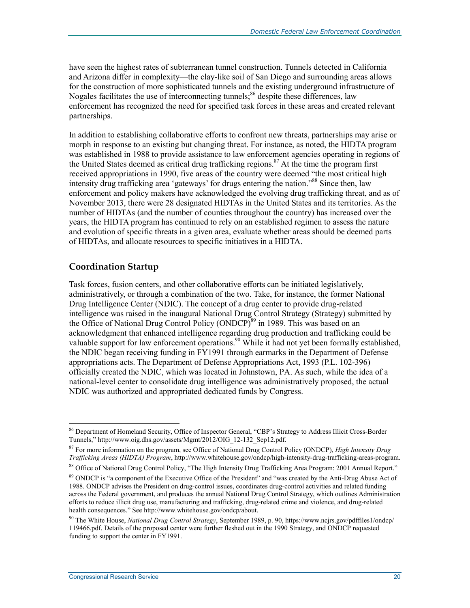have seen the highest rates of subterranean tunnel construction. Tunnels detected in California and Arizona differ in complexity—the clay-like soil of San Diego and surrounding areas allows for the construction of more sophisticated tunnels and the existing underground infrastructure of Nogales facilitates the use of interconnecting tunnels;<sup>86</sup> despite these differences, law enforcement has recognized the need for specified task forces in these areas and created relevant partnerships.

In addition to establishing collaborative efforts to confront new threats, partnerships may arise or morph in response to an existing but changing threat. For instance, as noted, the HIDTA program was established in 1988 to provide assistance to law enforcement agencies operating in regions of the United States deemed as critical drug trafficking regions.<sup>87</sup> At the time the program first received appropriations in 1990, five areas of the country were deemed "the most critical high intensity drug trafficking area 'gateways' for drugs entering the nation."88 Since then, law enforcement and policy makers have acknowledged the evolving drug trafficking threat, and as of November 2013, there were 28 designated HIDTAs in the United States and its territories. As the number of HIDTAs (and the number of counties throughout the country) has increased over the years, the HIDTA program has continued to rely on an established regimen to assess the nature and evolution of specific threats in a given area, evaluate whether areas should be deemed parts of HIDTAs, and allocate resources to specific initiatives in a HIDTA.

### **Coordination Startup**

Task forces, fusion centers, and other collaborative efforts can be initiated legislatively, administratively, or through a combination of the two. Take, for instance, the former National Drug Intelligence Center (NDIC). The concept of a drug center to provide drug-related intelligence was raised in the inaugural National Drug Control Strategy (Strategy) submitted by the Office of National Drug Control Policy (ONDCP)<sup>89</sup> in 1989. This was based on an acknowledgment that enhanced intelligence regarding drug production and trafficking could be valuable support for law enforcement operations.<sup>90</sup> While it had not yet been formally established, the NDIC began receiving funding in FY1991 through earmarks in the Department of Defense appropriations acts. The Department of Defense Appropriations Act, 1993 (P.L. 102-396) officially created the NDIC, which was located in Johnstown, PA. As such, while the idea of a national-level center to consolidate drug intelligence was administratively proposed, the actual NDIC was authorized and appropriated dedicated funds by Congress.

<sup>&</sup>lt;sup>86</sup> Department of Homeland Security, Office of Inspector General, "CBP's Strategy to Address Illicit Cross-Border Tunnels," http://www.oig.dhs.gov/assets/Mgmt/2012/OIG\_12-132\_Sep12.pdf.

<sup>87</sup> For more information on the program, see Office of National Drug Control Policy (ONDCP), *High Intensity Drug Trafficking Areas (HIDTA) Program*, http://www.whitehouse.gov/ondcp/high-intensity-drug-trafficking-areas-program.

<sup>88</sup> Office of National Drug Control Policy, "The High Intensity Drug Trafficking Area Program: 2001 Annual Report."

<sup>&</sup>lt;sup>89</sup> ONDCP is "a component of the Executive Office of the President" and "was created by the Anti-Drug Abuse Act of 1988. ONDCP advises the President on drug-control issues, coordinates drug-control activities and related funding across the Federal government, and produces the annual National Drug Control Strategy, which outlines Administration efforts to reduce illicit drug use, manufacturing and trafficking, drug-related crime and violence, and drug-related health consequences." See http://www.whitehouse.gov/ondcp/about.

<sup>90</sup> The White House, *National Drug Control Strategy*, September 1989, p. 90, https://www.ncjrs.gov/pdffiles1/ondcp/ 119466.pdf. Details of the proposed center were further fleshed out in the 1990 Strategy, and ONDCP requested funding to support the center in FY1991.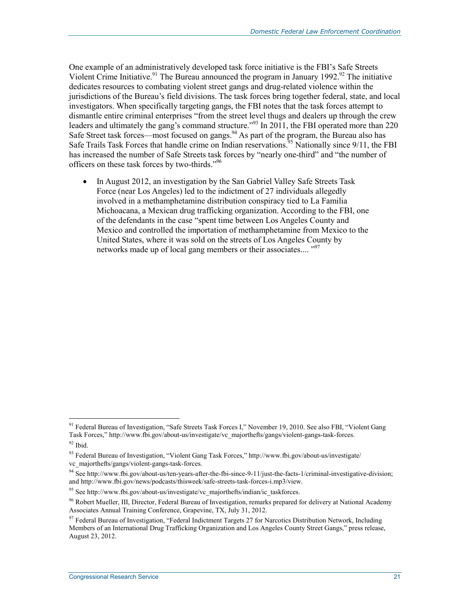One example of an administratively developed task force initiative is the FBI's Safe Streets Violent Crime Initiative.<sup>91</sup> The Bureau announced the program in January 1992.<sup>92</sup> The initiative dedicates resources to combating violent street gangs and drug-related violence within the jurisdictions of the Bureau's field divisions. The task forces bring together federal, state, and local investigators. When specifically targeting gangs, the FBI notes that the task forces attempt to dismantle entire criminal enterprises "from the street level thugs and dealers up through the crew leaders and ultimately the gang's command structure."<sup>93</sup> In 2011, the FBI operated more than 220 Safe Street task forces—most focused on gangs.<sup>94</sup> As part of the program, the Bureau also has Safe Trails Task Forces that handle crime on Indian reservations.<sup>95</sup> Nationally since  $9/11$ , the FBI has increased the number of Safe Streets task forces by "nearly one-third" and "the number of officers on these task forces by two-thirds."<sup>96</sup>

• In August 2012, an investigation by the San Gabriel Valley Safe Streets Task Force (near Los Angeles) led to the indictment of 27 individuals allegedly involved in a methamphetamine distribution conspiracy tied to La Familia Michoacana, a Mexican drug trafficking organization. According to the FBI, one of the defendants in the case "spent time between Los Angeles County and Mexico and controlled the importation of methamphetamine from Mexico to the United States, where it was sold on the streets of Los Angeles County by networks made up of local gang members or their associates.... "<sup>97</sup>

<sup>&</sup>lt;sup>91</sup> Federal Bureau of Investigation, "Safe Streets Task Forces I," November 19, 2010. See also FBI, "Violent Gang Task Forces," http://www.fbi.gov/about-us/investigate/vc\_majorthefts/gangs/violent-gangs-task-forces.  $92$  Ibid.

<sup>93</sup> Federal Bureau of Investigation, "Violent Gang Task Forces," http://www.fbi.gov/about-us/investigate/ vc\_majorthefts/gangs/violent-gangs-task-forces.

<sup>94</sup> See http://www.fbi.gov/about-us/ten-years-after-the-fbi-since-9-11/just-the-facts-1/criminal-investigative-division; and http://www.fbi.gov/news/podcasts/thisweek/safe-streets-task-forces-i.mp3/view.

<sup>&</sup>lt;sup>95</sup> See http://www.fbi.gov/about-us/investigate/vc\_majorthefts/indian/ic\_taskforces.

<sup>96</sup> Robert Mueller, III, Director, Federal Bureau of Investigation, remarks prepared for delivery at National Academy Associates Annual Training Conference, Grapevine, TX, July 31, 2012.

<sup>97</sup> Federal Bureau of Investigation, "Federal Indictment Targets 27 for Narcotics Distribution Network, Including Members of an International Drug Trafficking Organization and Los Angeles County Street Gangs," press release, August 23, 2012.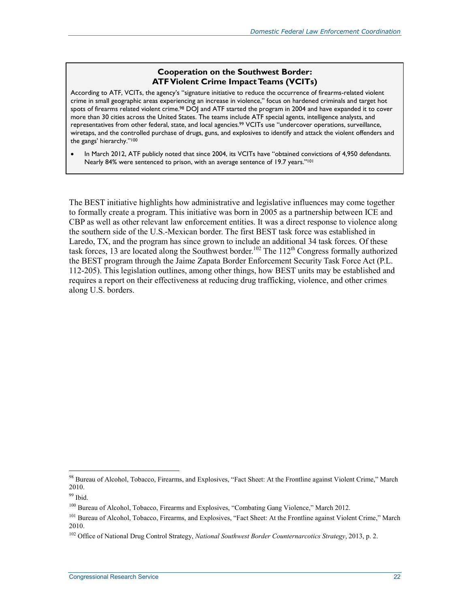#### **Cooperation on the Southwest Border: ATF Violent Crime Impact Teams (VCITs)**

According to ATF, VCITs, the agency's "signature initiative to reduce the occurrence of firearms-related violent crime in small geographic areas experiencing an increase in violence," focus on hardened criminals and target hot spots of firearms related violent crime.<sup>98</sup> DOJ and ATF started the program in 2004 and have expanded it to cover more than 30 cities across the United States. The teams include ATF special agents, intelligence analysts, and representatives from other federal, state, and local agencies.<sup>99</sup> VCITs use "undercover operations, surveillance, wiretaps, and the controlled purchase of drugs, guns, and explosives to identify and attack the violent offenders and the gangs' hierarchy."100

• In March 2012, ATF publicly noted that since 2004, its VCITs have "obtained convictions of 4,950 defendants. Nearly 84% were sentenced to prison, with an average sentence of 19.7 years."<sup>101</sup>

The BEST initiative highlights how administrative and legislative influences may come together to formally create a program. This initiative was born in 2005 as a partnership between ICE and CBP as well as other relevant law enforcement entities. It was a direct response to violence along the southern side of the U.S.-Mexican border. The first BEST task force was established in Laredo, TX, and the program has since grown to include an additional 34 task forces. Of these task forces, 13 are located along the Southwest border.<sup>102</sup> The 112<sup>th</sup> Congress formally authorized the BEST program through the Jaime Zapata Border Enforcement Security Task Force Act (P.L. 112-205). This legislation outlines, among other things, how BEST units may be established and requires a report on their effectiveness at reducing drug trafficking, violence, and other crimes along U.S. borders.

<sup>&</sup>lt;sup>98</sup> Bureau of Alcohol, Tobacco, Firearms, and Explosives, "Fact Sheet: At the Frontline against Violent Crime," March 2010.

 $99$  Ibid.

<sup>&</sup>lt;sup>100</sup> Bureau of Alcohol, Tobacco, Firearms and Explosives, "Combating Gang Violence," March 2012.

<sup>&</sup>lt;sup>101</sup> Bureau of Alcohol, Tobacco, Firearms, and Explosives, "Fact Sheet: At the Frontline against Violent Crime," March 2010.

<sup>102</sup> Office of National Drug Control Strategy, *National Southwest Border Counternarcotics Strategy*, 2013, p. 2.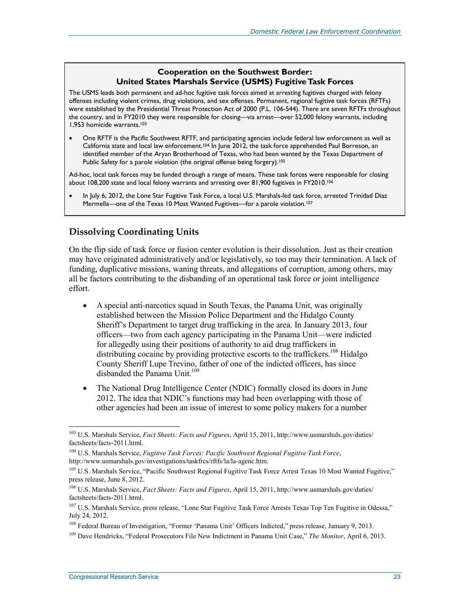### **Cooperation on the Southwest Border: United States Marshals Service (USMS) Fugitive Task Forces**

The USMS leads both permanent and ad-hoc fugitive task forces aimed at arresting fugitives charged with felony offenses including violent crimes, drug violations, and sex offenses. Permanent, regional fugitive task forces (RFTFs) were established by the Presidential Threat Protection Act of 2000 (P.L. 106-544). There are seven RFTFs throughout the country, and in FY2010 they were responsible for closing—via arrest—over 52,000 felony warrants, including 1,953 homicide warrants.<sup>103</sup>

• One RFTF is the Pacific Southwest RFTF, and participating agencies include federal law enforcement as well as California state and local law enforcement.104 In June 2012, the task force apprehended Paul Borreson, an identified member of the Aryan Brotherhood of Texas, who had been wanted by the Texas Department of Public Safety for a parole violation (the original offense being forgery).<sup>105</sup>

Ad-hoc, local task forces may be funded through a range of means. These task forces were responsible for closing about 108,200 state and local felony warrants and arresting over 81,900 fugitives in FY2010.106

• In July 6, 2012, the Lone Star Fugitive Task Force, a local U.S. Marshals-led task force, arrested Trinidad Diaz Mermella—one of the Texas 10 Most Wanted Fugitives—for a parole violation.<sup>107</sup>

### **Dissolving Coordinating Units**

On the flip side of task force or fusion center evolution is their dissolution. Just as their creation may have originated administratively and/or legislatively, so too may their termination. A lack of funding, duplicative missions, waning threats, and allegations of corruption, among others, may all be factors contributing to the disbanding of an operational task force or joint intelligence effort.

- A special anti-narcotics squad in South Texas, the Panama Unit, was originally established between the Mission Police Department and the Hidalgo County Sheriff's Department to target drug trafficking in the area. In January 2013, four officers—two from each agency participating in the Panama Unit—were indicted for allegedly using their positions of authority to aid drug traffickers in distributing cocaine by providing protective escorts to the traffickers.<sup>108</sup> Hidalgo County Sheriff Lupe Trevino, father of one of the indicted officers, has since disbanded the Panama Unit.<sup>109</sup>
- The National Drug Intelligence Center (NDIC) formally closed its doors in June 2012. The idea that NDIC's functions may had been overlapping with those of other agencies had been an issue of interest to some policy makers for a number

<sup>103</sup> U.S. Marshals Service, *Fact Sheets: Facts and Figures*, April 15, 2011, http://www.usmarshals.gov/duties/ factsheets/facts-2011.html.

<sup>104</sup> U.S. Marshals Service, *Fugitive Task Forces: Pacific Southwest Regional Fugitive Task Force*, http://www.usmarshals.gov/investigations/taskfrcs/rftfs/la/la-agenc.htm.

<sup>&</sup>lt;sup>105</sup> U.S. Marshals Service, "Pacific Southwest Regional Fugitive Task Force Arrest Texas 10 Most Wanted Fugitive," press release, June 8, 2012.

<sup>106</sup> U.S. Marshals Service, *Fact Sheets: Facts and Figures*, April 15, 2011, http://www.usmarshals.gov/duties/ factsheets/facts-2011.html.

<sup>&</sup>lt;sup>107</sup> U.S. Marshals Service, press release, "Lone Star Fugitive Task Force Arrests Texas Top Ten Fugitive in Odessa," July 24, 2012.

<sup>108</sup> Federal Bureau of Investigation, "Former 'Panama Unit' Officers Indicted," press release, January 9, 2013.

<sup>109</sup> Dave Hendricks, "Federal Prosecutors File New Indictment in Panama Unit Case," *The Monitor*, April 6, 2013.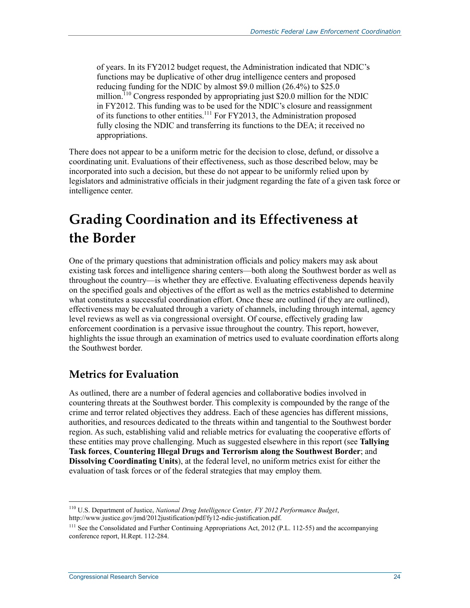of years. In its FY2012 budget request, the Administration indicated that NDIC's functions may be duplicative of other drug intelligence centers and proposed reducing funding for the NDIC by almost \$9.0 million (26.4%) to \$25.0 million.<sup>110</sup> Congress responded by appropriating just \$20.0 million for the NDIC in FY2012. This funding was to be used for the NDIC's closure and reassignment of its functions to other entities.111 For FY2013, the Administration proposed fully closing the NDIC and transferring its functions to the DEA; it received no appropriations.

There does not appear to be a uniform metric for the decision to close, defund, or dissolve a coordinating unit. Evaluations of their effectiveness, such as those described below, may be incorporated into such a decision, but these do not appear to be uniformly relied upon by legislators and administrative officials in their judgment regarding the fate of a given task force or intelligence center.

## **Grading Coordination and its Effectiveness at the Border**

One of the primary questions that administration officials and policy makers may ask about existing task forces and intelligence sharing centers—both along the Southwest border as well as throughout the country—is whether they are effective. Evaluating effectiveness depends heavily on the specified goals and objectives of the effort as well as the metrics established to determine what constitutes a successful coordination effort. Once these are outlined (if they are outlined), effectiveness may be evaluated through a variety of channels, including through internal, agency level reviews as well as via congressional oversight. Of course, effectively grading law enforcement coordination is a pervasive issue throughout the country. This report, however, highlights the issue through an examination of metrics used to evaluate coordination efforts along the Southwest border.

### **Metrics for Evaluation**

As outlined, there are a number of federal agencies and collaborative bodies involved in countering threats at the Southwest border. This complexity is compounded by the range of the crime and terror related objectives they address. Each of these agencies has different missions, authorities, and resources dedicated to the threats within and tangential to the Southwest border region. As such, establishing valid and reliable metrics for evaluating the cooperative efforts of these entities may prove challenging. Much as suggested elsewhere in this report (see **Tallying Task forces**, **Countering Illegal Drugs and Terrorism along the Southwest Border**; and **Dissolving Coordinating Units**), at the federal level, no uniform metrics exist for either the evaluation of task forces or of the federal strategies that may employ them.

<sup>1</sup> 110 U.S. Department of Justice, *National Drug Intelligence Center, FY 2012 Performance Budget*, http://www.justice.gov/jmd/2012justification/pdf/fy12-ndic-justification.pdf.

<sup>&</sup>lt;sup>111</sup> See the Consolidated and Further Continuing Appropriations Act, 2012 (P.L. 112-55) and the accompanying conference report, H.Rept. 112-284.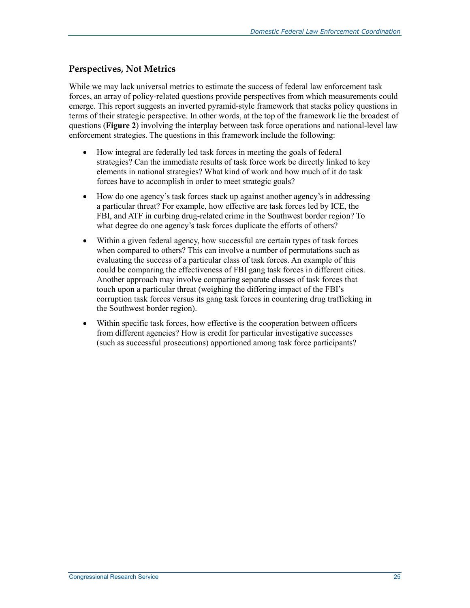### **Perspectives, Not Metrics**

While we may lack universal metrics to estimate the success of federal law enforcement task forces, an array of policy-related questions provide perspectives from which measurements could emerge. This report suggests an inverted pyramid-style framework that stacks policy questions in terms of their strategic perspective. In other words, at the top of the framework lie the broadest of questions (**Figure 2**) involving the interplay between task force operations and national-level law enforcement strategies. The questions in this framework include the following:

- How integral are federally led task forces in meeting the goals of federal strategies? Can the immediate results of task force work be directly linked to key elements in national strategies? What kind of work and how much of it do task forces have to accomplish in order to meet strategic goals?
- How do one agency's task forces stack up against another agency's in addressing a particular threat? For example, how effective are task forces led by ICE, the FBI, and ATF in curbing drug-related crime in the Southwest border region? To what degree do one agency's task forces duplicate the efforts of others?
- Within a given federal agency, how successful are certain types of task forces when compared to others? This can involve a number of permutations such as evaluating the success of a particular class of task forces. An example of this could be comparing the effectiveness of FBI gang task forces in different cities. Another approach may involve comparing separate classes of task forces that touch upon a particular threat (weighing the differing impact of the FBI's corruption task forces versus its gang task forces in countering drug trafficking in the Southwest border region).
- Within specific task forces, how effective is the cooperation between officers from different agencies? How is credit for particular investigative successes (such as successful prosecutions) apportioned among task force participants?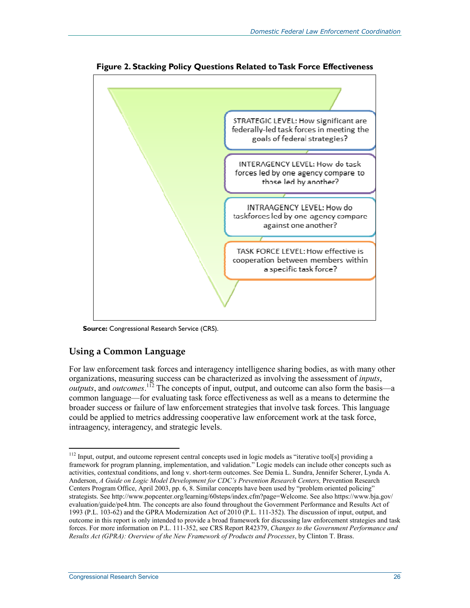

**Figure 2. Stacking Policy Questions Related to Task Force Effectiveness** 

**Source:** Congressional Research Service (CRS).

### **Using a Common Language**

For law enforcement task forces and interagency intelligence sharing bodies, as with many other organizations, measuring success can be characterized as involving the assessment of *inputs*, *outputs*, and *outcomes*.<sup>112</sup> The concepts of input, output, and outcome can also form the basis—a common language—for evaluating task force effectiveness as well as a means to determine the broader success or failure of law enforcement strategies that involve task forces. This language could be applied to metrics addressing cooperative law enforcement work at the task force, intraagency, interagency, and strategic levels.

<sup>&</sup>lt;sup>112</sup> Input, output, and outcome represent central concepts used in logic models as "iterative tool[s] providing a framework for program planning, implementation, and validation." Logic models can include other concepts such as activities, contextual conditions, and long v. short-term outcomes. See Demia L. Sundra, Jennifer Scherer, Lynda A. Anderson, *A Guide on Logic Model Development for CDC's Prevention Research Centers*, Prevention Research Centers Program Office, April 2003, pp. 6, 8. Similar concepts have been used by "problem oriented policing" strategists. See http://www.popcenter.org/learning/60steps/index.cfm?page=Welcome. See also https://www.bja.gov/ evaluation/guide/pe4.htm. The concepts are also found throughout the Government Performance and Results Act of 1993 (P.L. 103-62) and the GPRA Modernization Act of 2010 (P.L. 111-352). The discussion of input, output, and outcome in this report is only intended to provide a broad framework for discussing law enforcement strategies and task forces. For more information on P.L. 111-352, see CRS Report R42379, *Changes to the Government Performance and Results Act (GPRA): Overview of the New Framework of Products and Processes*, by Clinton T. Brass.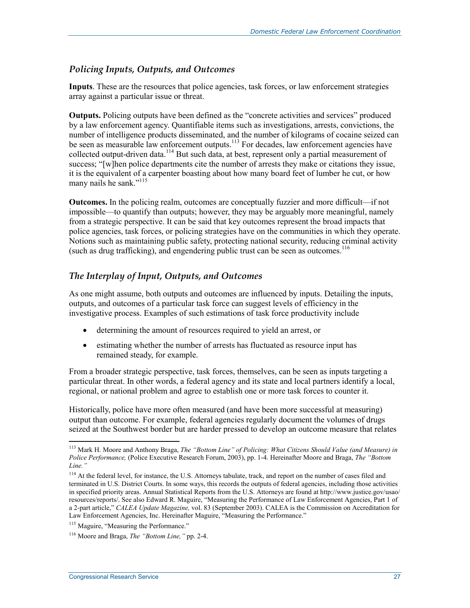### *Policing Inputs, Outputs, and Outcomes*

**Inputs**. These are the resources that police agencies, task forces, or law enforcement strategies array against a particular issue or threat.

**Outputs.** Policing outputs have been defined as the "concrete activities and services" produced by a law enforcement agency. Quantifiable items such as investigations, arrests, convictions, the number of intelligence products disseminated, and the number of kilograms of cocaine seized can be seen as measurable law enforcement outputs.<sup>113</sup> For decades, law enforcement agencies have collected output-driven data.<sup>114</sup> But such data, at best, represent only a partial measurement of success; "[w]hen police departments cite the number of arrests they make or citations they issue, it is the equivalent of a carpenter boasting about how many board feet of lumber he cut, or how many nails he sank."<sup>115</sup>

**Outcomes.** In the policing realm, outcomes are conceptually fuzzier and more difficult—if not impossible—to quantify than outputs; however, they may be arguably more meaningful, namely from a strategic perspective. It can be said that key outcomes represent the broad impacts that police agencies, task forces, or policing strategies have on the communities in which they operate. Notions such as maintaining public safety, protecting national security, reducing criminal activity (such as drug trafficking), and engendering public trust can be seen as outcomes.<sup>116</sup>

### *The Interplay of Input, Outputs, and Outcomes*

As one might assume, both outputs and outcomes are influenced by inputs. Detailing the inputs, outputs, and outcomes of a particular task force can suggest levels of efficiency in the investigative process. Examples of such estimations of task force productivity include

- determining the amount of resources required to yield an arrest, or
- estimating whether the number of arrests has fluctuated as resource input has remained steady, for example.

From a broader strategic perspective, task forces, themselves, can be seen as inputs targeting a particular threat. In other words, a federal agency and its state and local partners identify a local, regional, or national problem and agree to establish one or more task forces to counter it.

Historically, police have more often measured (and have been more successful at measuring) output than outcome. For example, federal agencies regularly document the volumes of drugs seized at the Southwest border but are harder pressed to develop an outcome measure that relates

<sup>&</sup>lt;u>.</u> 113 Mark H. Moore and Anthony Braga, *The "Bottom Line" of Policing: What Citizens Should Value (and Measure) in Police Performance,* (Police Executive Research Forum, 2003), pp. 1-4. Hereinafter Moore and Braga, *The "Bottom Line."* 

<sup>&</sup>lt;sup>114</sup> At the federal level, for instance, the U.S. Attorneys tabulate, track, and report on the number of cases filed and terminated in U.S. District Courts. In some ways, this records the outputs of federal agencies, including those activities in specified priority areas. Annual Statistical Reports from the U.S. Attorneys are found at http://www.justice.gov/usao/ resources/reports/. See also Edward R. Maguire, "Measuring the Performance of Law Enforcement Agencies, Part 1 of a 2-part article," *CALEA Update Magazine,* vol. 83 (September 2003). CALEA is the Commission on Accreditation for Law Enforcement Agencies, Inc. Hereinafter Maguire, "Measuring the Performance."

<sup>&</sup>lt;sup>115</sup> Maguire, "Measuring the Performance."

<sup>116</sup> Moore and Braga, *The "Bottom Line,"* pp. 2-4.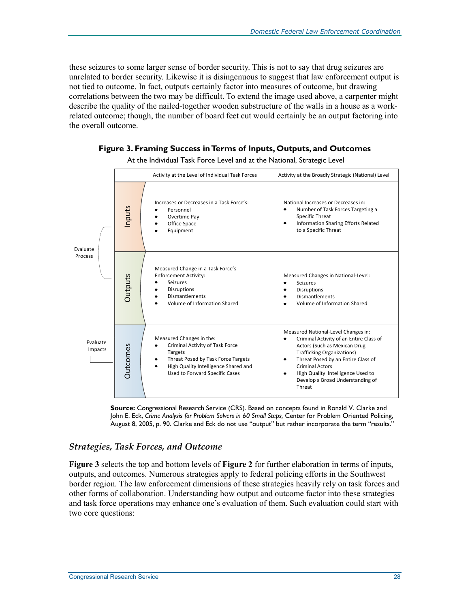Criminal Activity of an Entire Class of Actors (Such as Mexican Drug Trafficking Organizations) Threat Posed by an Entire Class of

High Quality Intelligence Used to Develop a Broad Understanding of

Criminal Actors

Threat

these seizures to some larger sense of border security. This is not to say that drug seizures are unrelated to border security. Likewise it is disingenuous to suggest that law enforcement output is not tied to outcome. In fact, outputs certainly factor into measures of outcome, but drawing correlations between the two may be difficult. To extend the image used above, a carpenter might describe the quality of the nailed-together wooden substructure of the walls in a house as a workrelated outcome; though, the number of board feet cut would certainly be an output factoring into the overall outcome.



#### **Figure 3. Framing Success in Terms of Inputs, Outputs, and Outcomes**

At the Individual Task Force Level and at the National, Strategic Level

**Source:** Congressional Research Service (CRS). Based on concepts found in Ronald V. Clarke and John E. Eck, *Crime Analysis for Problem Solvers in 60 Small Steps,* Center for Problem Oriented Policing, August 8, 2005, p. 90. Clarke and Eck do not use "output" but rather incorporate the term "results."

#### *Strategies, Task Forces, and Outcome*

Measured Changes in the:

Targets

Criminal Activity of Task Force

Threat Posed by Task Force Targets High Quality Intelligence Shared and Used to Forward Specific Cases

Outcomes

Outcomes

Evaluate Impacts

**Figure 3** selects the top and bottom levels of **Figure 2** for further elaboration in terms of inputs, outputs, and outcomes. Numerous strategies apply to federal policing efforts in the Southwest border region. The law enforcement dimensions of these strategies heavily rely on task forces and other forms of collaboration. Understanding how output and outcome factor into these strategies and task force operations may enhance one's evaluation of them. Such evaluation could start with two core questions: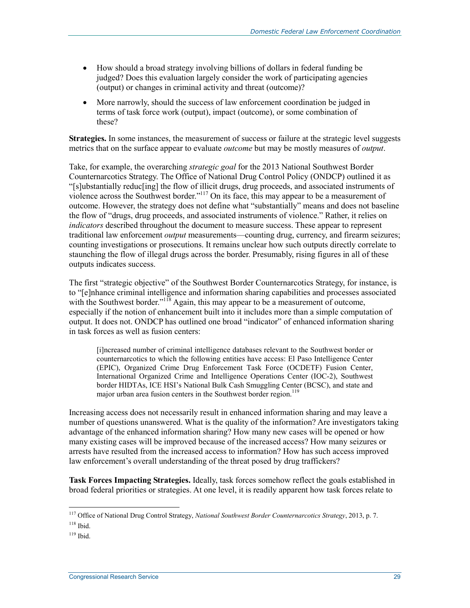- How should a broad strategy involving billions of dollars in federal funding be judged? Does this evaluation largely consider the work of participating agencies (output) or changes in criminal activity and threat (outcome)?
- More narrowly, should the success of law enforcement coordination be judged in terms of task force work (output), impact (outcome), or some combination of these?

**Strategies.** In some instances, the measurement of success or failure at the strategic level suggests metrics that on the surface appear to evaluate *outcome* but may be mostly measures of *output*.

Take, for example, the overarching *strategic goal* for the 2013 National Southwest Border Counternarcotics Strategy. The Office of National Drug Control Policy (ONDCP) outlined it as "[s]ubstantially reduc[ing] the flow of illicit drugs, drug proceeds, and associated instruments of violence across the Southwest border."117 On its face, this may appear to be a measurement of outcome. However, the strategy does not define what "substantially" means and does not baseline the flow of "drugs, drug proceeds, and associated instruments of violence." Rather, it relies on *indicators* described throughout the document to measure success. These appear to represent traditional law enforcement *output* measurements—counting drug, currency, and firearm seizures; counting investigations or prosecutions. It remains unclear how such outputs directly correlate to staunching the flow of illegal drugs across the border. Presumably, rising figures in all of these outputs indicates success.

The first "strategic objective" of the Southwest Border Counternarcotics Strategy, for instance, is to "[e]nhance criminal intelligence and information sharing capabilities and processes associated with the Southwest border." $118$  Again, this may appear to be a measurement of outcome, especially if the notion of enhancement built into it includes more than a simple computation of output. It does not. ONDCP has outlined one broad "indicator" of enhanced information sharing in task forces as well as fusion centers:

[i]ncreased number of criminal intelligence databases relevant to the Southwest border or counternarcotics to which the following entities have access: El Paso Intelligence Center (EPIC), Organized Crime Drug Enforcement Task Force (OCDETF) Fusion Center, International Organized Crime and Intelligence Operations Center (IOC-2), Southwest border HIDTAs, ICE HSI's National Bulk Cash Smuggling Center (BCSC), and state and major urban area fusion centers in the Southwest border region.<sup>119</sup>

Increasing access does not necessarily result in enhanced information sharing and may leave a number of questions unanswered. What is the quality of the information? Are investigators taking advantage of the enhanced information sharing? How many new cases will be opened or how many existing cases will be improved because of the increased access? How many seizures or arrests have resulted from the increased access to information? How has such access improved law enforcement's overall understanding of the threat posed by drug traffickers?

**Task Forces Impacting Strategies.** Ideally, task forces somehow reflect the goals established in broad federal priorities or strategies. At one level, it is readily apparent how task forces relate to

<sup>117</sup> Office of National Drug Control Strategy, *National Southwest Border Counternarcotics Strategy*, 2013, p. 7. 118 Ibid.

 $119$  Ibid.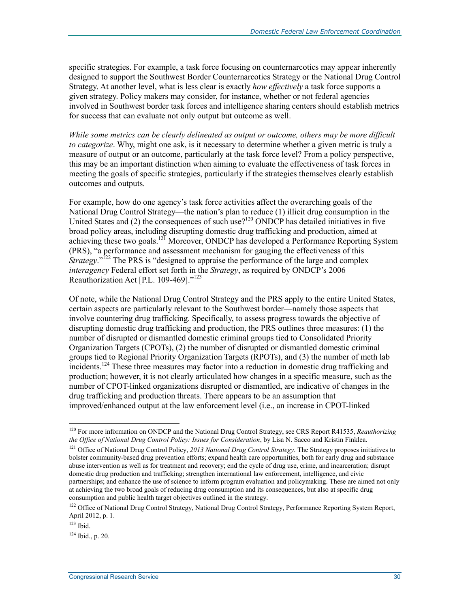specific strategies. For example, a task force focusing on counternarcotics may appear inherently designed to support the Southwest Border Counternarcotics Strategy or the National Drug Control Strategy. At another level, what is less clear is exactly *how effectively* a task force supports a given strategy. Policy makers may consider, for instance, whether or not federal agencies involved in Southwest border task forces and intelligence sharing centers should establish metrics for success that can evaluate not only output but outcome as well.

*While some metrics can be clearly delineated as output or outcome, others may be more difficult to categorize*. Why, might one ask, is it necessary to determine whether a given metric is truly a measure of output or an outcome, particularly at the task force level? From a policy perspective, this may be an important distinction when aiming to evaluate the effectiveness of task forces in meeting the goals of specific strategies, particularly if the strategies themselves clearly establish outcomes and outputs.

For example, how do one agency's task force activities affect the overarching goals of the National Drug Control Strategy—the nation's plan to reduce (1) illicit drug consumption in the United States and (2) the consequences of such use?<sup>120</sup> ONDCP has detailed initiatives in five broad policy areas, including disrupting domestic drug trafficking and production, aimed at achieving these two goals.<sup>121</sup> Moreover, ONDCP has developed a Performance Reporting System (PRS), "a performance and assessment mechanism for gauging the effectiveness of this *Strategy*."<sup>122</sup> The PRS is "designed to appraise the performance of the large and complex *interagency* Federal effort set forth in the *Strategy*, as required by ONDCP's 2006 Reauthorization Act [P.L. 109-469]."123

Of note, while the National Drug Control Strategy and the PRS apply to the entire United States, certain aspects are particularly relevant to the Southwest border—namely those aspects that involve countering drug trafficking. Specifically, to assess progress towards the objective of disrupting domestic drug trafficking and production, the PRS outlines three measures: (1) the number of disrupted or dismantled domestic criminal groups tied to Consolidated Priority Organization Targets (CPOTs), (2) the number of disrupted or dismantled domestic criminal groups tied to Regional Priority Organization Targets (RPOTs), and (3) the number of meth lab incidents.<sup>124</sup> These three measures may factor into a reduction in domestic drug trafficking and production; however, it is not clearly articulated how changes in a specific measure, such as the number of CPOT-linked organizations disrupted or dismantled, are indicative of changes in the drug trafficking and production threats. There appears to be an assumption that improved/enhanced output at the law enforcement level (i.e., an increase in CPOT-linked

<sup>120</sup> For more information on ONDCP and the National Drug Control Strategy, see CRS Report R41535, *Reauthorizing the Office of National Drug Control Policy: Issues for Consideration*, by Lisa N. Sacco and Kristin Finklea.

<sup>&</sup>lt;sup>121</sup> Office of National Drug Control Policy, 2013 National Drug Control Strategy. The Strategy proposes initiatives to bolster community-based drug prevention efforts; expand health care opportunities, both for early drug and substance abuse intervention as well as for treatment and recovery; end the cycle of drug use, crime, and incarceration; disrupt domestic drug production and trafficking; strengthen international law enforcement, intelligence, and civic partnerships; and enhance the use of science to inform program evaluation and policymaking. These are aimed not only at achieving the two broad goals of reducing drug consumption and its consequences, but also at specific drug consumption and public health target objectives outlined in the strategy.

<sup>&</sup>lt;sup>122</sup> Office of National Drug Control Strategy, National Drug Control Strategy, Performance Reporting System Report, April 2012, p. 1.

 $123$  Ibid.

 $124$  Ibid., p. 20.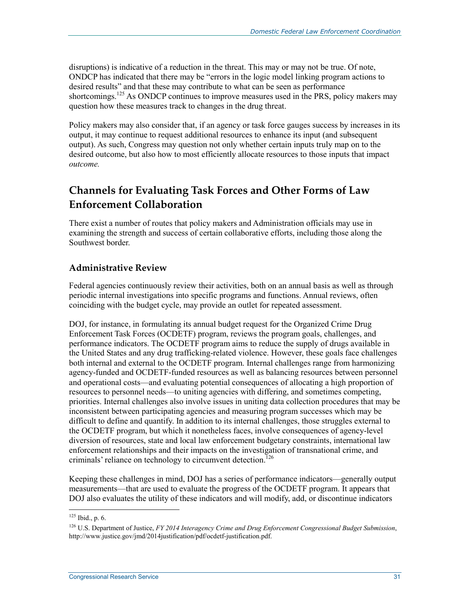disruptions) is indicative of a reduction in the threat. This may or may not be true. Of note, ONDCP has indicated that there may be "errors in the logic model linking program actions to desired results" and that these may contribute to what can be seen as performance shortcomings.<sup>125</sup> As ONDCP continues to improve measures used in the PRS, policy makers may question how these measures track to changes in the drug threat.

Policy makers may also consider that, if an agency or task force gauges success by increases in its output, it may continue to request additional resources to enhance its input (and subsequent output). As such, Congress may question not only whether certain inputs truly map on to the desired outcome, but also how to most efficiently allocate resources to those inputs that impact *outcome.*

### **Channels for Evaluating Task Forces and Other Forms of Law Enforcement Collaboration**

There exist a number of routes that policy makers and Administration officials may use in examining the strength and success of certain collaborative efforts, including those along the Southwest border.

### **Administrative Review**

Federal agencies continuously review their activities, both on an annual basis as well as through periodic internal investigations into specific programs and functions. Annual reviews, often coinciding with the budget cycle, may provide an outlet for repeated assessment.

DOJ, for instance, in formulating its annual budget request for the Organized Crime Drug Enforcement Task Forces (OCDETF) program, reviews the program goals, challenges, and performance indicators. The OCDETF program aims to reduce the supply of drugs available in the United States and any drug trafficking-related violence. However, these goals face challenges both internal and external to the OCDETF program. Internal challenges range from harmonizing agency-funded and OCDETF-funded resources as well as balancing resources between personnel and operational costs—and evaluating potential consequences of allocating a high proportion of resources to personnel needs—to uniting agencies with differing, and sometimes competing, priorities. Internal challenges also involve issues in uniting data collection procedures that may be inconsistent between participating agencies and measuring program successes which may be difficult to define and quantify. In addition to its internal challenges, those struggles external to the OCDETF program, but which it nonetheless faces, involve consequences of agency-level diversion of resources, state and local law enforcement budgetary constraints, international law enforcement relationships and their impacts on the investigation of transnational crime, and criminals' reliance on technology to circumvent detection.<sup>126</sup>

Keeping these challenges in mind, DOJ has a series of performance indicators—generally output measurements—that are used to evaluate the progress of the OCDETF program. It appears that DOJ also evaluates the utility of these indicators and will modify, add, or discontinue indicators

 $125$  Ibid., p. 6.

<sup>126</sup> U.S. Department of Justice, *FY 2014 Interagency Crime and Drug Enforcement Congressional Budget Submission*, http://www.justice.gov/jmd/2014justification/pdf/ocdetf-justification.pdf.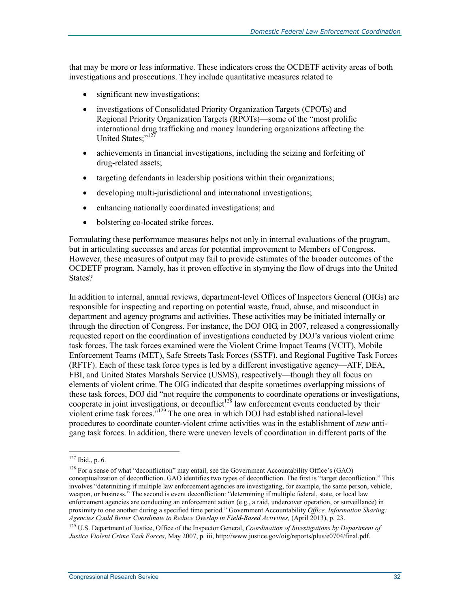that may be more or less informative. These indicators cross the OCDETF activity areas of both investigations and prosecutions. They include quantitative measures related to

- significant new investigations;
- investigations of Consolidated Priority Organization Targets (CPOTs) and Regional Priority Organization Targets (RPOTs)—some of the "most prolific international drug trafficking and money laundering organizations affecting the United States:"127
- achievements in financial investigations, including the seizing and forfeiting of drug-related assets;
- targeting defendants in leadership positions within their organizations;
- developing multi-jurisdictional and international investigations;
- enhancing nationally coordinated investigations; and
- bolstering co-located strike forces.

Formulating these performance measures helps not only in internal evaluations of the program, but in articulating successes and areas for potential improvement to Members of Congress. However, these measures of output may fail to provide estimates of the broader outcomes of the OCDETF program. Namely, has it proven effective in stymying the flow of drugs into the United States?

In addition to internal, annual reviews, department-level Offices of Inspectors General (OIGs) are responsible for inspecting and reporting on potential waste, fraud, abuse, and misconduct in department and agency programs and activities. These activities may be initiated internally or through the direction of Congress. For instance, the DOJ OIG, in 2007, released a congressionally requested report on the coordination of investigations conducted by DOJ's various violent crime task forces. The task forces examined were the Violent Crime Impact Teams (VCIT), Mobile Enforcement Teams (MET), Safe Streets Task Forces (SSTF), and Regional Fugitive Task Forces (RFTF). Each of these task force types is led by a different investigative agency—ATF, DEA, FBI, and United States Marshals Service (USMS), respectively—though they all focus on elements of violent crime. The OIG indicated that despite sometimes overlapping missions of these task forces, DOJ did "not require the components to coordinate operations or investigations, cooperate in joint investigations, or deconflict<sup>128</sup> law enforcement events conducted by their violent crime task forces."129 The one area in which DOJ had established national-level procedures to coordinate counter-violent crime activities was in the establishment of *new* antigang task forces. In addition, there were uneven levels of coordination in different parts of the

 $127$  Ibid., p. 6.

<sup>&</sup>lt;sup>128</sup> For a sense of what "deconfliction" may entail, see the Government Accountability Office's (GAO) conceptualization of deconfliction. GAO identifies two types of deconfliction. The first is "target deconfliction." This involves "determining if multiple law enforcement agencies are investigating, for example, the same person, vehicle, weapon, or business." The second is event deconfliction: "determining if multiple federal, state, or local law enforcement agencies are conducting an enforcement action (e.g., a raid, undercover operation, or surveillance) in proximity to one another during a specified time period." Government Accountability *Office, Information Sharing: Agencies Could Better Coordinate to Reduce Overlap in Field-Based Activities,* (April 2013), p. 23.

<sup>&</sup>lt;sup>129</sup> U.S. Department of Justice, Office of the Inspector General, *Coordination of Investigations by Department of Justice Violent Crime Task Forces*, May 2007, p. iii, http://www.justice.gov/oig/reports/plus/e0704/final.pdf.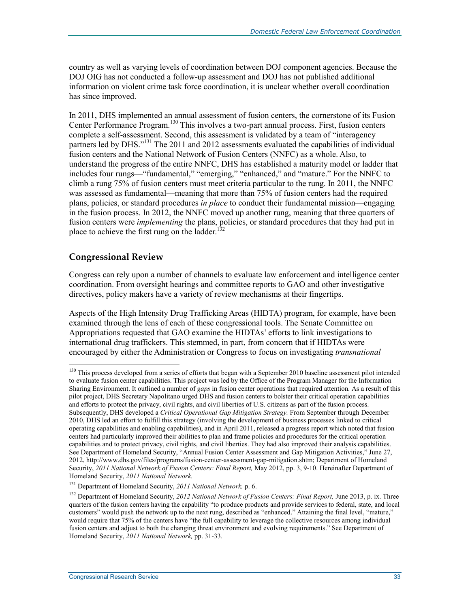country as well as varying levels of coordination between DOJ component agencies. Because the DOJ OIG has not conducted a follow-up assessment and DOJ has not published additional information on violent crime task force coordination, it is unclear whether overall coordination has since improved.

In 2011, DHS implemented an annual assessment of fusion centers, the cornerstone of its Fusion Center Performance Program.<sup>130</sup> This involves a two-part annual process. First, fusion centers complete a self-assessment. Second, this assessment is validated by a team of "interagency partners led by DHS.<sup>"131</sup> The 2011 and 2012 assessments evaluated the capabilities of individual fusion centers and the National Network of Fusion Centers (NNFC) as a whole. Also, to understand the progress of the entire NNFC, DHS has established a maturity model or ladder that includes four rungs—"fundamental," "emerging," "enhanced," and "mature." For the NNFC to climb a rung 75% of fusion centers must meet criteria particular to the rung. In 2011, the NNFC was assessed as fundamental—meaning that more than 75% of fusion centers had the required plans, policies, or standard procedures *in place* to conduct their fundamental mission—engaging in the fusion process. In 2012, the NNFC moved up another rung, meaning that three quarters of fusion centers were *implementing* the plans, policies, or standard procedures that they had put in place to achieve the first rung on the ladder.<sup>1</sup>

### **Congressional Review**

<u>.</u>

Congress can rely upon a number of channels to evaluate law enforcement and intelligence center coordination. From oversight hearings and committee reports to GAO and other investigative directives, policy makers have a variety of review mechanisms at their fingertips.

Aspects of the High Intensity Drug Trafficking Areas (HIDTA) program, for example, have been examined through the lens of each of these congressional tools. The Senate Committee on Appropriations requested that GAO examine the HIDTAs' efforts to link investigations to international drug traffickers. This stemmed, in part, from concern that if HIDTAs were encouraged by either the Administration or Congress to focus on investigating *transnational*

<sup>&</sup>lt;sup>130</sup> This process developed from a series of efforts that began with a September 2010 baseline assessment pilot intended to evaluate fusion center capabilities. This project was led by the Office of the Program Manager for the Information Sharing Environment. It outlined a number of *gaps* in fusion center operations that required attention. As a result of this pilot project, DHS Secretary Napolitano urged DHS and fusion centers to bolster their critical operation capabilities and efforts to protect the privacy, civil rights, and civil liberties of U.S. citizens as part of the fusion process. Subsequently, DHS developed a *Critical Operational Gap Mitigation Strategy.* From September through December 2010, DHS led an effort to fulfill this strategy (involving the development of business processes linked to critical operating capabilities and enabling capabilities), and in April 2011, released a progress report which noted that fusion centers had particularly improved their abilities to plan and frame policies and procedures for the critical operation capabilities and to protect privacy, civil rights, and civil liberties. They had also improved their analysis capabilities. See Department of Homeland Security, "Annual Fusion Center Assessment and Gap Mitigation Activities," June 27, 2012, http://www.dhs.gov/files/programs/fusion-center-assessment-gap-mitigation.shtm; Department of Homeland Security, *2011 National Network of Fusion Centers: Final Report,* May 2012, pp. 3, 9-10. Hereinafter Department of Homeland Security, *2011 National Network.*

<sup>131</sup> Department of Homeland Security, *2011 National Network,* p. 6.

<sup>132</sup> Department of Homeland Security, *2012 National Network of Fusion Centers: Final Report,* June 2013, p. ix. Three quarters of the fusion centers having the capability "to produce products and provide services to federal, state, and local customers" would push the network up to the next rung, described as "enhanced." Attaining the final level, "mature," would require that 75% of the centers have "the full capability to leverage the collective resources among individual fusion centers and adjust to both the changing threat environment and evolving requirements." See Department of Homeland Security, *2011 National Network,* pp. 31-33.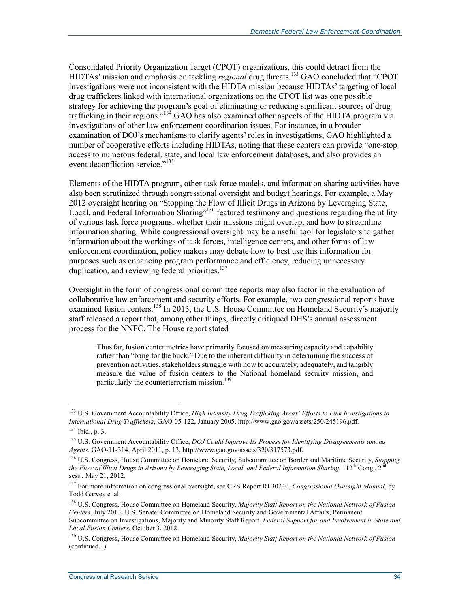Consolidated Priority Organization Target (CPOT) organizations, this could detract from the HIDTAs' mission and emphasis on tackling *regional* drug threats.<sup>133</sup> GAO concluded that "CPOT" investigations were not inconsistent with the HIDTA mission because HIDTAs' targeting of local drug traffickers linked with international organizations on the CPOT list was one possible strategy for achieving the program's goal of eliminating or reducing significant sources of drug trafficking in their regions."134 GAO has also examined other aspects of the HIDTA program via investigations of other law enforcement coordination issues. For instance, in a broader examination of DOJ's mechanisms to clarify agents' roles in investigations, GAO highlighted a number of cooperative efforts including HIDTAs, noting that these centers can provide "one-stop access to numerous federal, state, and local law enforcement databases, and also provides an event deconfliction service."<sup>135</sup>

Elements of the HIDTA program, other task force models, and information sharing activities have also been scrutinized through congressional oversight and budget hearings. For example, a May 2012 oversight hearing on "Stopping the Flow of Illicit Drugs in Arizona by Leveraging State, Local, and Federal Information Sharing<sup>"136</sup> featured testimony and questions regarding the utility of various task force programs, whether their missions might overlap, and how to streamline information sharing. While congressional oversight may be a useful tool for legislators to gather information about the workings of task forces, intelligence centers, and other forms of law enforcement coordination, policy makers may debate how to best use this information for purposes such as enhancing program performance and efficiency, reducing unnecessary duplication, and reviewing federal priorities.<sup>137</sup>

Oversight in the form of congressional committee reports may also factor in the evaluation of collaborative law enforcement and security efforts. For example, two congressional reports have examined fusion centers.<sup>138</sup> In 2013, the U.S. House Committee on Homeland Security's majority staff released a report that, among other things, directly critiqued DHS's annual assessment process for the NNFC. The House report stated

Thus far, fusion center metrics have primarily focused on measuring capacity and capability rather than "bang for the buck." Due to the inherent difficulty in determining the success of prevention activities, stakeholders struggle with how to accurately, adequately, and tangibly measure the value of fusion centers to the National homeland security mission, and particularly the counterterrorism mission.<sup>139</sup>

<sup>133</sup> U.S. Government Accountability Office, *High Intensity Drug Trafficking Areas' Efforts to Link Investigations to International Drug Traffickers*, GAO-05-122, January 2005, http://www.gao.gov/assets/250/245196.pdf. 134 Ibid., p. 3.

<sup>135</sup> U.S. Government Accountability Office, *DOJ Could Improve Its Process for Identifying Disagreements among Agents*, GAO-11-314, April 2011, p. 13, http://www.gao.gov/assets/320/317573.pdf.

<sup>136</sup> U.S. Congress, House Committee on Homeland Security, Subcommittee on Border and Maritime Security, *Stopping the Flow of Illicit Drugs in Arizona by Leveraging State, Local, and Federal Information Sharing*,  $112^{th}$ Cong., 2<sup>nd</sup> sess., May 21, 2012.

<sup>137</sup> For more information on congressional oversight, see CRS Report RL30240, *Congressional Oversight Manual*, by Todd Garvey et al.

<sup>138</sup> U.S. Congress, House Committee on Homeland Security, *Majority Staff Report on the National Network of Fusion Centers*, July 2013; U.S. Senate, Committee on Homeland Security and Governmental Affairs, Permanent

Subcommittee on Investigations, Majority and Minority Staff Report, *Federal Support for and Involvement in State and Local Fusion Centers*, October 3, 2012.

<sup>139</sup> U.S. Congress, House Committee on Homeland Security, *Majority Staff Report on the National Network of Fusion*  (continued...)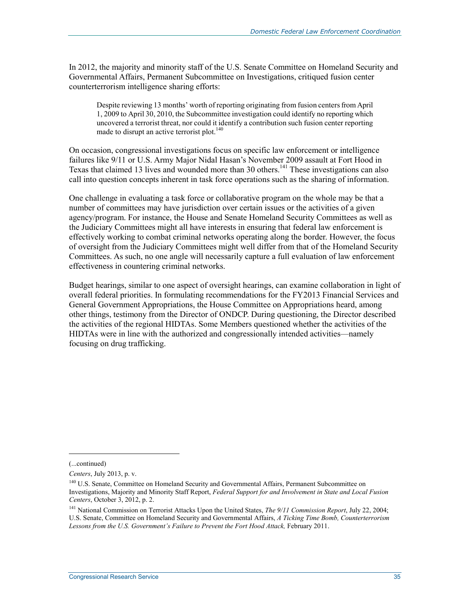In 2012, the majority and minority staff of the U.S. Senate Committee on Homeland Security and Governmental Affairs, Permanent Subcommittee on Investigations, critiqued fusion center counterterrorism intelligence sharing efforts:

Despite reviewing 13 months' worth of reporting originating from fusion centers from April 1, 2009 to April 30, 2010, the Subcommittee investigation could identify no reporting which uncovered a terrorist threat, nor could it identify a contribution such fusion center reporting made to disrupt an active terrorist plot.<sup>140</sup>

On occasion, congressional investigations focus on specific law enforcement or intelligence failures like 9/11 or U.S. Army Major Nidal Hasan's November 2009 assault at Fort Hood in Texas that claimed 13 lives and wounded more than 30 others.<sup>141</sup> These investigations can also call into question concepts inherent in task force operations such as the sharing of information.

One challenge in evaluating a task force or collaborative program on the whole may be that a number of committees may have jurisdiction over certain issues or the activities of a given agency/program. For instance, the House and Senate Homeland Security Committees as well as the Judiciary Committees might all have interests in ensuring that federal law enforcement is effectively working to combat criminal networks operating along the border. However, the focus of oversight from the Judiciary Committees might well differ from that of the Homeland Security Committees. As such, no one angle will necessarily capture a full evaluation of law enforcement effectiveness in countering criminal networks.

Budget hearings, similar to one aspect of oversight hearings, can examine collaboration in light of overall federal priorities. In formulating recommendations for the FY2013 Financial Services and General Government Appropriations, the House Committee on Appropriations heard, among other things, testimony from the Director of ONDCP. During questioning, the Director described the activities of the regional HIDTAs. Some Members questioned whether the activities of the HIDTAs were in line with the authorized and congressionally intended activities—namely focusing on drug trafficking.

 $\overline{a}$ 

<sup>(...</sup>continued)

*Centers*, July 2013, p. v.

<sup>&</sup>lt;sup>140</sup> U.S. Senate, Committee on Homeland Security and Governmental Affairs, Permanent Subcommittee on Investigations, Majority and Minority Staff Report, *Federal Support for and Involvement in State and Local Fusion Centers*, October 3, 2012, p. 2.

<sup>141</sup> National Commission on Terrorist Attacks Upon the United States, *The 9/11 Commission Report*, July 22, 2004; U.S. Senate, Committee on Homeland Security and Governmental Affairs, *A Ticking Time Bomb, Counterterrorism Lessons from the U.S. Government's Failure to Prevent the Fort Hood Attack,* February 2011.